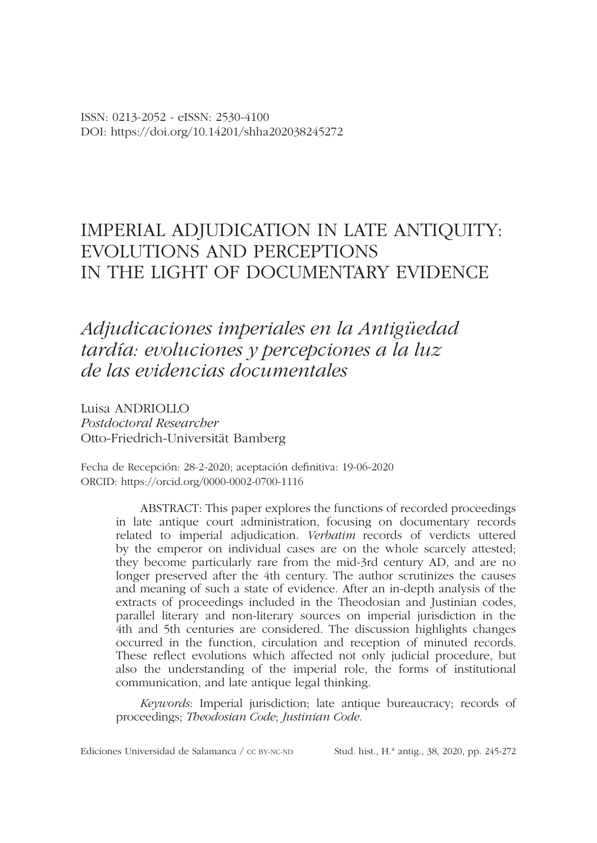# *Adjudicaciones imperiales en la Antigüedad tardía: evoluciones y percepciones a la luz de las evidencias documentales*

Luisa ANDRIOLLO *Postdoctoral Researcher* Otto-Friedrich-Universität Bamberg

Fecha de Recepción: 28-2-2020; aceptación defnitiva: 19-06-2020 ORCID: https://orcid.org/0000-0002-0700-1116

> ABSTRACT: This paper explores the functions of recorded proceedings in late antique court administration, focusing on documentary records related to imperial adjudication. *Verbatim* records of verdicts uttered by the emperor on individual cases are on the whole scarcely attested; they become particularly rare from the mid-3rd century AD, and are no longer preserved after the 4th century. The author scrutinizes the causes and meaning of such a state of evidence. After an in-depth analysis of the extracts of proceedings included in the Theodosian and Justinian codes, parallel literary and non-literary sources on imperial jurisdiction in the 4th and 5th centuries are considered. The discussion highlights changes occurred in the function, circulation and reception of minuted records. These refect evolutions which affected not only judicial procedure, but also the understanding of the imperial role, the forms of institutional communication, and late antique legal thinking.

> *Keywords*: Imperial jurisdiction; late antique bureaucracy; records of proceedings; *Theodosian Code*; *Justinian Code*.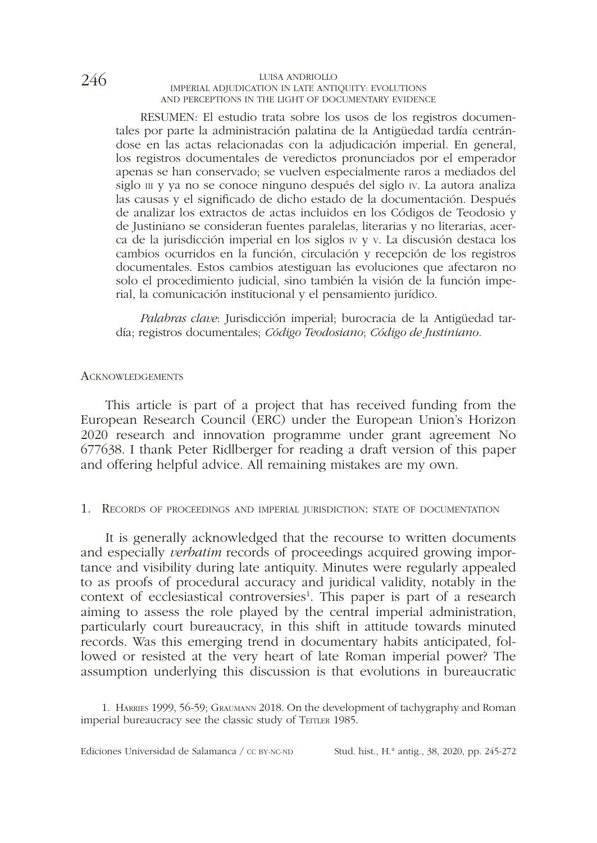RESUMEN: El estudio trata sobre los usos de los registros documentales por parte la administración palatina de la Antigüedad tardía centrándose en las actas relacionadas con la adjudicación imperial. En general, los registros documentales de veredictos pronunciados por el emperador apenas se han conservado; se vuelven especialmente raros a mediados del siglo  $\mu$  y ya no se conoce ninguno después del siglo  $\mu$ . La autora analiza las causas y el signifcado de dicho estado de la documentación. Después de analizar los extractos de actas incluidos en los Códigos de Teodosio y de Justiniano se consideran fuentes paralelas, literarias y no literarias, acerca de la jurisdicción imperial en los siglos iv y v. La discusión destaca los cambios ocurridos en la función, circulación y recepción de los registros documentales. Estos cambios atestiguan las evoluciones que afectaron no solo el procedimiento judicial, sino también la visión de la función imperial, la comunicación institucional y el pensamiento jurídico.

*Palabras clave*: Jurisdicción imperial; burocracia de la Antigüedad tardía; registros documentales; *Código Teodosiano*; *Código de Justiniano*.

#### **ACKNOWLEDGEMENTS**

This article is part of a project that has received funding from the European Research Council (ERC) under the European Union's Horizon 2020 research and innovation programme under grant agreement No 677638. I thank Peter Ridlberger for reading a draft version of this paper and offering helpful advice. All remaining mistakes are my own.

#### 1. Records of proceedings and imperial jurisdiction: state of documentation

It is generally acknowledged that the recourse to written documents and especially *verbatim* records of proceedings acquired growing importance and visibility during late antiquity. Minutes were regularly appealed to as proofs of procedural accuracy and juridical validity, notably in the context of ecclesiastical controversies<sup>1</sup>. This paper is part of a research aiming to assess the role played by the central imperial administration, particularly court bureaucracy, in this shift in attitude towards minuted records. Was this emerging trend in documentary habits anticipated, followed or resisted at the very heart of late Roman imperial power? The assumption underlying this discussion is that evolutions in bureaucratic

1. Harries 1999, 56-59; Graumann 2018. On the development of tachygraphy and Roman imperial bureaucracy see the classic study of TEITLER 1985.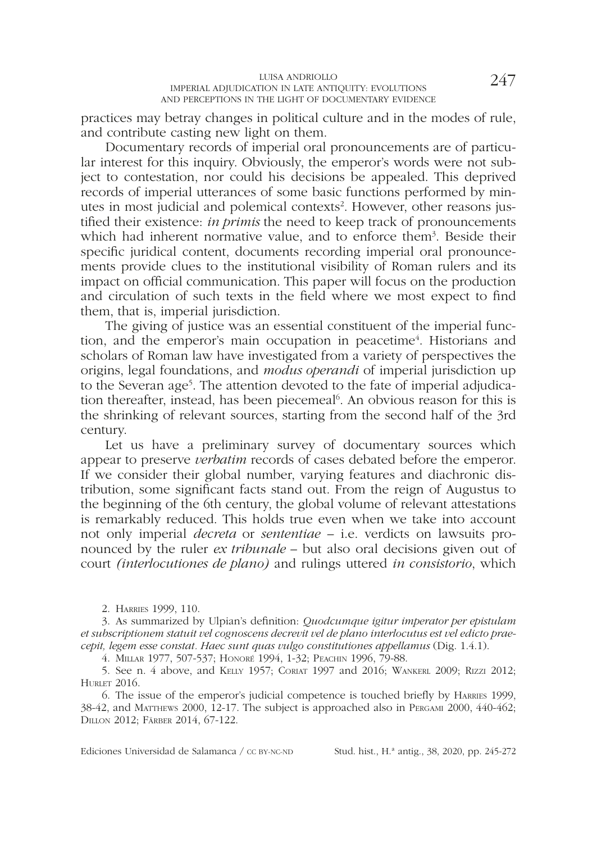practices may betray changes in political culture and in the modes of rule, and contribute casting new light on them.

Documentary records of imperial oral pronouncements are of particular interest for this inquiry. Obviously, the emperor's words were not subject to contestation, nor could his decisions be appealed. This deprived records of imperial utterances of some basic functions performed by minutes in most judicial and polemical contexts<sup>2</sup>. However, other reasons justifed their existence: *in primis* the need to keep track of pronouncements which had inherent normative value, and to enforce them<sup>3</sup>. Beside their specifc juridical content, documents recording imperial oral pronouncements provide clues to the institutional visibility of Roman rulers and its impact on offcial communication. This paper will focus on the production and circulation of such texts in the feld where we most expect to fnd them, that is, imperial jurisdiction.

The giving of justice was an essential constituent of the imperial function, and the emperor's main occupation in peacetime<sup>4</sup>. Historians and scholars of Roman law have investigated from a variety of perspectives the origins, legal foundations, and *modus operandi* of imperial jurisdiction up to the Severan age<sup>5</sup>. The attention devoted to the fate of imperial adjudication thereafter, instead, has been piecemeal<sup>6</sup>. An obvious reason for this is the shrinking of relevant sources, starting from the second half of the 3rd century.

Let us have a preliminary survey of documentary sources which appear to preserve *verbatim* records of cases debated before the emperor. If we consider their global number, varying features and diachronic distribution, some signifcant facts stand out. From the reign of Augustus to the beginning of the 6th century, the global volume of relevant attestations is remarkably reduced. This holds true even when we take into account not only imperial *decreta* or *sententiae* – i.e. verdicts on lawsuits pronounced by the ruler *ex tribunale* – but also oral decisions given out of court *(interlocutiones de plano)* and rulings uttered *in consistorio*, which

2. Harries 1999, 110.

3. As summarized by Ulpian's defnition: *Quodcumque igitur imperator per epistulam et subscriptionem statuit vel cognoscens decrevit vel de plano interlocutus est vel edicto praecepit, legem esse constat. Haec sunt quas vulgo constitutiones appellamus* (Dig. 1.4.1).

4. Millar 1977, 507-537; Honoré 1994, 1-32; Peachin 1996, 79-88.

5. See n. 4 above, and Kelly 1957; Coriat 1997 and 2016; Wankerl 2009; Rizzi 2012; **HURLET 2016.** 

6. The issue of the emperor's judicial competence is touched briefy by Harries 1999, 38-42, and Matthews 2000, 12-17. The subject is approached also in Pergami 2000, 440-462; Dillon 2012; Färber 2014, 67-122.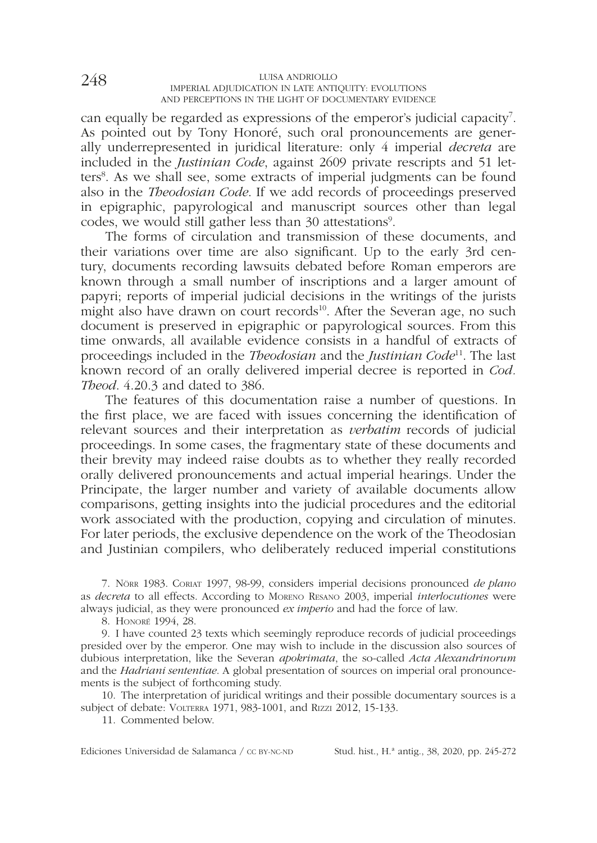can equally be regarded as expressions of the emperor's judicial capacity<sup>7</sup>. As pointed out by Tony Honoré, such oral pronouncements are generally underrepresented in juridical literature: only 4 imperial *decreta* are included in the *Justinian Code*, against 2609 private rescripts and 51 letters<sup>8</sup>. As we shall see, some extracts of imperial judgments can be found also in the *Theodosian Code*. If we add records of proceedings preserved in epigraphic, papyrological and manuscript sources other than legal codes, we would still gather less than 30 attestations<sup>9</sup>.

The forms of circulation and transmission of these documents, and their variations over time are also signifcant. Up to the early 3rd century, documents recording lawsuits debated before Roman emperors are known through a small number of inscriptions and a larger amount of papyri; reports of imperial judicial decisions in the writings of the jurists might also have drawn on court records<sup>10</sup>. After the Severan age, no such document is preserved in epigraphic or papyrological sources. From this time onwards, all available evidence consists in a handful of extracts of proceedings included in the *Theodosian* and the *Justinian Code*11. The last known record of an orally delivered imperial decree is reported in *Cod. Theod*. 4.20.3 and dated to 386.

The features of this documentation raise a number of questions. In the frst place, we are faced with issues concerning the identifcation of relevant sources and their interpretation as *verbatim* records of judicial proceedings. In some cases, the fragmentary state of these documents and their brevity may indeed raise doubts as to whether they really recorded orally delivered pronouncements and actual imperial hearings. Under the Principate, the larger number and variety of available documents allow comparisons, getting insights into the judicial procedures and the editorial work associated with the production, copying and circulation of minutes. For later periods, the exclusive dependence on the work of the Theodosian and Justinian compilers, who deliberately reduced imperial constitutions

7. Nörr 1983. Coriat 1997, 98-99, considers imperial decisions pronounced *de plano* as *decreta* to all effects. According to Moreno Resano 2003, imperial *interlocutiones* were always judicial, as they were pronounced *ex imperio* and had the force of law.

8. Honoré 1994, 28.

9. I have counted 23 texts which seemingly reproduce records of judicial proceedings presided over by the emperor. One may wish to include in the discussion also sources of dubious interpretation, like the Severan *apokrimata*, the so-called *Acta Alexandrinorum* and the *Hadriani sententiae*. A global presentation of sources on imperial oral pronouncements is the subject of forthcoming study.

10. The interpretation of juridical writings and their possible documentary sources is a subject of debate: VOLTERRA 1971, 983-1001, and RIZZI 2012, 15-133.

11. Commented below.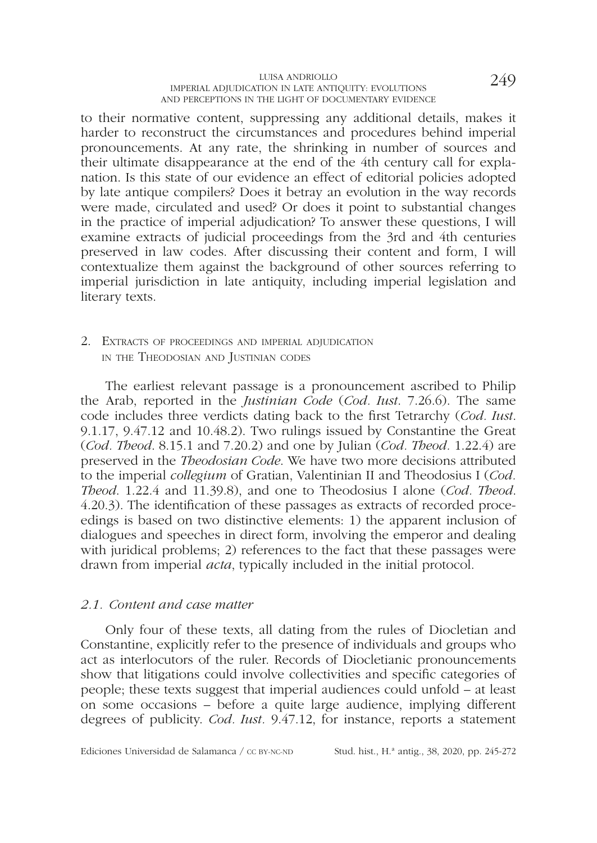to their normative content, suppressing any additional details, makes it harder to reconstruct the circumstances and procedures behind imperial pronouncements. At any rate, the shrinking in number of sources and their ultimate disappearance at the end of the 4th century call for explanation. Is this state of our evidence an effect of editorial policies adopted by late antique compilers? Does it betray an evolution in the way records were made, circulated and used? Or does it point to substantial changes in the practice of imperial adjudication? To answer these questions, I will examine extracts of judicial proceedings from the 3rd and 4th centuries preserved in law codes. After discussing their content and form, I will contextualize them against the background of other sources referring to imperial jurisdiction in late antiquity, including imperial legislation and literary texts.

2. Extracts of proceedings and imperial adjudication in the Theodosian and Justinian codes

The earliest relevant passage is a pronouncement ascribed to Philip the Arab, reported in the *Justinian Code* (*Cod. Iust*. 7.26.6). The same code includes three verdicts dating back to the frst Tetrarchy (*Cod. Iust*. 9.1.17, 9.47.12 and 10.48.2). Two rulings issued by Constantine the Great (*Cod. Theod*. 8.15.1 and 7.20.2) and one by Julian (*Cod. Theod.* 1.22.4) are preserved in the *Theodosian Code*. We have two more decisions attributed to the imperial *collegium* of Gratian, Valentinian II and Theodosius I (*Cod. Theod*. 1.22.4 and 11.39.8), and one to Theodosius I alone (*Cod. Theod*. 4.20.3). The identifcation of these passages as extracts of recorded proceedings is based on two distinctive elements: 1) the apparent inclusion of dialogues and speeches in direct form, involving the emperor and dealing with juridical problems; 2) references to the fact that these passages were drawn from imperial *acta*, typically included in the initial protocol.

#### *2.1. Content and case matter*

Only four of these texts, all dating from the rules of Diocletian and Constantine, explicitly refer to the presence of individuals and groups who act as interlocutors of the ruler. Records of Diocletianic pronouncements show that litigations could involve collectivities and specifc categories of people; these texts suggest that imperial audiences could unfold – at least on some occasions – before a quite large audience, implying different degrees of publicity. *Cod. Iust.* 9.47.12, for instance, reports a statement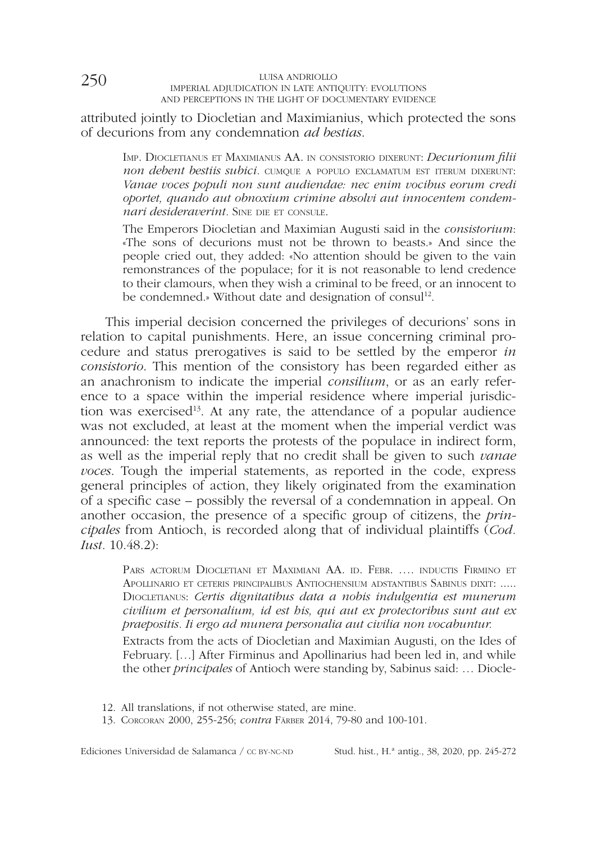attributed jointly to Diocletian and Maximianius, which protected the sons of decurions from any condemnation *ad bestias*.

Imp. Diocletianus et Maximianus AA. in consistorio dixerunt: *Decurionum flii*  non debent bestiis subici. **cumque a populo exclamatum est iterum dixerunt**: *Vanae voces populi non sunt audiendae: nec enim vocibus eorum credi oportet, quando aut obnoxium crimine absolvi aut innocentem condemnari desideraverint.* SINE DIE ET CONSULE.

The Emperors Diocletian and Maximian Augusti said in the *consistorium*: «The sons of decurions must not be thrown to beasts.» And since the people cried out, they added: «No attention should be given to the vain remonstrances of the populace; for it is not reasonable to lend credence to their clamours, when they wish a criminal to be freed, or an innocent to be condemned.» Without date and designation of consul<sup>12</sup>.

This imperial decision concerned the privileges of decurions' sons in relation to capital punishments. Here, an issue concerning criminal procedure and status prerogatives is said to be settled by the emperor *in consistorio*. This mention of the consistory has been regarded either as an anachronism to indicate the imperial *consilium*, or as an early reference to a space within the imperial residence where imperial jurisdiction was exercised<sup>13</sup>. At any rate, the attendance of a popular audience was not excluded, at least at the moment when the imperial verdict was announced: the text reports the protests of the populace in indirect form, as well as the imperial reply that no credit shall be given to such *vanae voces*. Tough the imperial statements, as reported in the code, express general principles of action, they likely originated from the examination of a specifc case – possibly the reversal of a condemnation in appeal. On another occasion, the presence of a specifc group of citizens, the *principales* from Antioch, is recorded along that of individual plaintiffs (*Cod. Iust.* 10.48.2):

Pars actorum Diocletiani et Maximiani AA. id. Febr. …. inductis Firmino et Apollinario et ceteris principalibus Antiochensium adstantibus Sabinus dixit: ..... Diocletianus: *Certis dignitatibus data a nobis indulgentia est munerum civilium et personalium, id est his, qui aut ex protectoribus sunt aut ex praepositis. Ii ergo ad munera personalia aut civilia non vocabuntur.*

Extracts from the acts of Diocletian and Maximian Augusti, on the Ides of February. […] After Firminus and Apollinarius had been led in, and while the other *principales* of Antioch were standing by, Sabinus said: … Diocle-

12. All translations, if not otherwise stated, are mine.

13. Corcoran 2000, 255-256; *contra* Färber 2014, 79-80 and 100-101.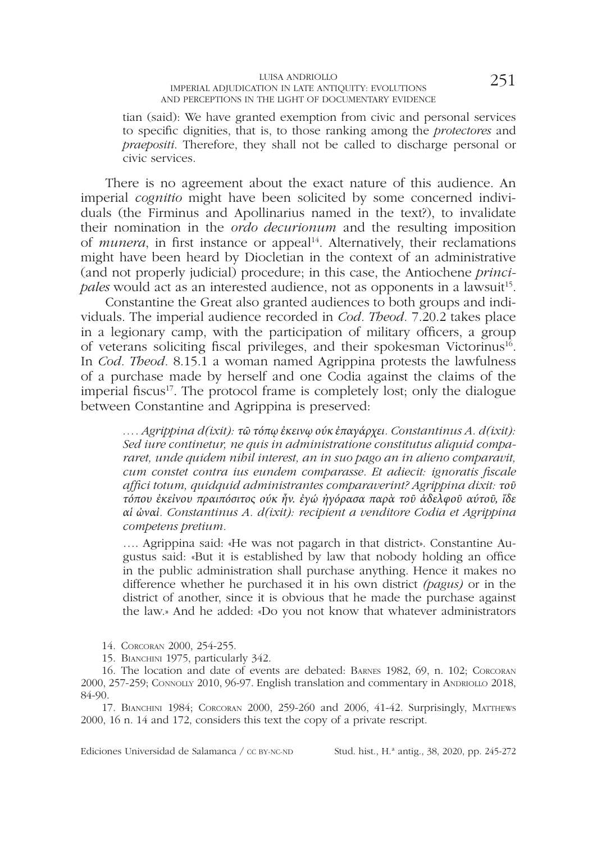#### $\begin{array}{cc} \text{LUSA ANDRIOLLO} & \text{LUMER} & \text{LUMER} \\ \text{LUMPERIAL ADJUDICATION IN LATE ANTIQUITY: EVOLUTIONS & \text{LUMER} & \text{LUMER} \\ \end{array} \qquad \begin{array}{c} \text{LUMER} \\ \text{LUMER} \\ \text{LUMER} \end{array} \qquad \qquad \begin{array}{c} \text{LUMER} \\ \text{LUMER} \end{array} \qquad \begin{array}{c} \text{LUMER} \\ \text{LUMER} \end{array} \qquad \begin{array}{c} \text{LUMER} \\ \text{LUMER} \end{array} \qquad \begin{array}{c$ AND PERCEPTIONS IN THE LIGHT OF DOCUMENTARY EVIDENCE

tian (said): We have granted exemption from civic and personal services to specifc dignities, that is, to those ranking among the *protectores* and *praepositi*. Therefore, they shall not be called to discharge personal or civic services.

There is no agreement about the exact nature of this audience. An imperial *cognitio* might have been solicited by some concerned individuals (the Firminus and Apollinarius named in the text?), to invalidate their nomination in the *ordo decurionum* and the resulting imposition of *munera*, in first instance or appeal<sup>14</sup>. Alternatively, their reclamations might have been heard by Diocletian in the context of an administrative (and not properly judicial) procedure; in this case, the Antiochene *principales* would act as an interested audience, not as opponents in a lawsuit<sup>15</sup>.

Constantine the Great also granted audiences to both groups and individuals. The imperial audience recorded in *Cod. Theod.* 7.20.2 takes place in a legionary camp, with the participation of military officers, a group of veterans soliciting fscal privileges, and their spokesman Victorinus16. In *Cod. Theod.* 8.15.1 a woman named Agrippina protests the lawfulness of a purchase made by herself and one Codia against the claims of the imperial fiscus<sup>17</sup>. The protocol frame is completely lost; only the dialogue between Constantine and Agrippina is preserved:

*…. Agrippina d(ixit): τῶ τόπῳ ἐκεινῳ ούκ ἐπαγάρχει. Constantinus A. d(ixit): Sed iure continetur, ne quis in administratione constitutus aliquid compararet, unde quidem nihil interest, an in suo pago an in alieno comparavit, cum constet contra ius eundem comparasse. Et adiecit: ignoratis fscale affci totum, quidquid administrantes comparaverint? Agrippina dixit: τοῦ τόπου ἐκεἰνου πραιπόσιτος ούκ ἦν. ἐγώ ἠγόρασα παρὰ τοῦ ἀδελφοῦ αύτοῦ, ἴδε αἱ ὠναἰ. Constantinus A. d(ixit): recipient a venditore Codia et Agrippina competens pretium.*

…. Agrippina said: «He was not pagarch in that district». Constantine Augustus said: «But it is established by law that nobody holding an office in the public administration shall purchase anything. Hence it makes no difference whether he purchased it in his own district *(pagus)* or in the district of another, since it is obvious that he made the purchase against the law.» And he added: «Do you not know that whatever administrators

14. Corcoran 2000, 254-255.

15. BIANCHINI 1975, particularly 342.

16. The location and date of events are debated: Barnes 1982, 69, n. 102; Corcoran 2000, 257-259; Connolly 2010, 96-97. English translation and commentary in Andriollo 2018, 84-90.

17. Bianchini 1984; Corcoran 2000, 259-260 and 2006, 41-42. Surprisingly, Matthews 2000, 16 n. 14 and 172, considers this text the copy of a private rescript.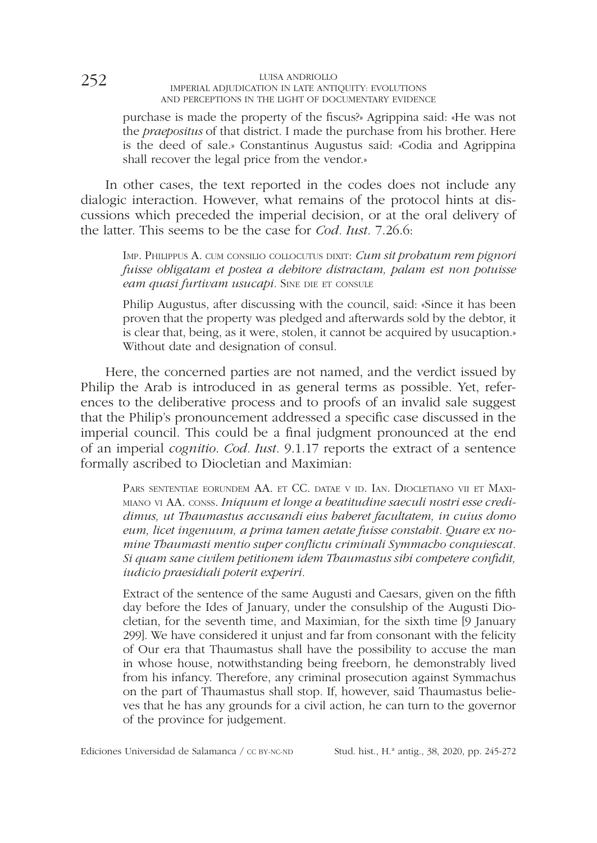purchase is made the property of the fscus?» Agrippina said: «He was not the *praepositus* of that district. I made the purchase from his brother. Here is the deed of sale.» Constantinus Augustus said: «Codia and Agrippina shall recover the legal price from the vendor.»

In other cases, the text reported in the codes does not include any dialogic interaction. However, what remains of the protocol hints at discussions which preceded the imperial decision, or at the oral delivery of the latter. This seems to be the case for *Cod. Iust.* 7.26.6:

Imp. Philippus A. cum consilio collocutus dixit: *Cum sit probatum rem pignori fuisse obligatam et postea a debitore distractam, palam est non potuisse eam quasi furtivam usucapi. SINE DIE ET CONSULE* 

Philip Augustus, after discussing with the council, said: «Since it has been proven that the property was pledged and afterwards sold by the debtor, it is clear that, being, as it were, stolen, it cannot be acquired by usucaption.» Without date and designation of consul.

Here, the concerned parties are not named, and the verdict issued by Philip the Arab is introduced in as general terms as possible. Yet, references to the deliberative process and to proofs of an invalid sale suggest that the Philip's pronouncement addressed a specifc case discussed in the imperial council. This could be a fnal judgment pronounced at the end of an imperial *cognitio*. *Cod. Iust.* 9.1.17 reports the extract of a sentence formally ascribed to Diocletian and Maximian:

Pars sententiae eorundem AA. et CC. datae <sup>v</sup> id. Ian. Diocletiano vii et Maximiano vi AA. conss. *Iniquum et longe a beatitudine saeculi nostri esse credidimus, ut Thaumastus accusandi eius haberet facultatem, in cuius domo eum, licet ingenuum, a prima tamen aetate fuisse constabit. Quare ex nomine Thaumasti mentio super confictu criminali Symmacho conquiescat. Si quam sane civilem petitionem idem Thaumastus sibi competere confdit, iudicio praesidiali poterit experiri.*

Extract of the sentence of the same Augusti and Caesars, given on the ffth day before the Ides of January, under the consulship of the Augusti Diocletian, for the seventh time, and Maximian, for the sixth time [9 January 299]. We have considered it unjust and far from consonant with the felicity of Our era that Thaumastus shall have the possibility to accuse the man in whose house, notwithstanding being freeborn, he demonstrably lived from his infancy. Therefore, any criminal prosecution against Symmachus on the part of Thaumastus shall stop. If, however, said Thaumastus believes that he has any grounds for a civil action, he can turn to the governor of the province for judgement.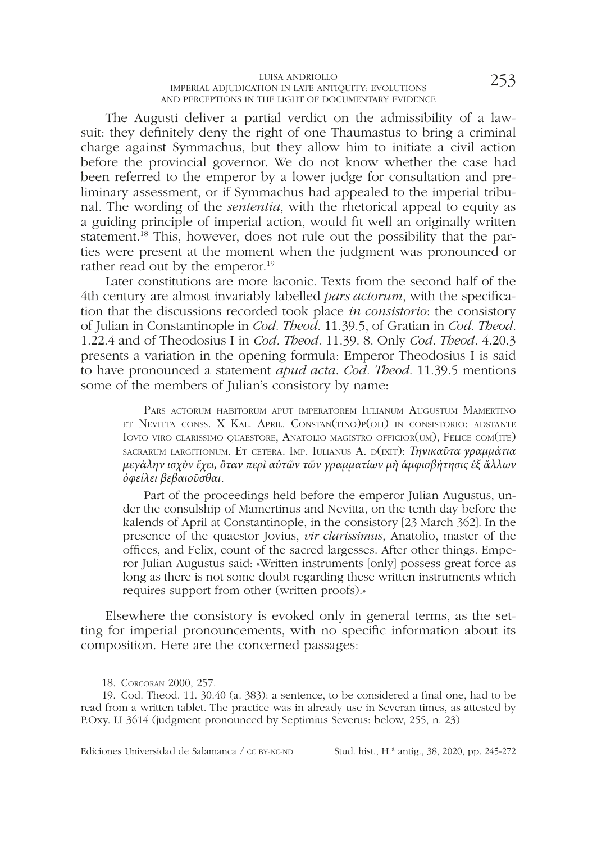The Augusti deliver a partial verdict on the admissibility of a lawsuit: they defnitely deny the right of one Thaumastus to bring a criminal charge against Symmachus, but they allow him to initiate a civil action before the provincial governor. We do not know whether the case had been referred to the emperor by a lower judge for consultation and preliminary assessment, or if Symmachus had appealed to the imperial tribunal. The wording of the *sententia*, with the rhetorical appeal to equity as a guiding principle of imperial action, would ft well an originally written statement.<sup>18</sup> This, however, does not rule out the possibility that the parties were present at the moment when the judgment was pronounced or rather read out by the emperor.<sup>19</sup>

Later constitutions are more laconic. Texts from the second half of the 4th century are almost invariably labelled *pars actorum*, with the specifcation that the discussions recorded took place *in consistorio*: the consistory of Julian in Constantinople in *Cod. Theod.* 11.39.5, of Gratian in *Cod. Theod*. 1.22.4 and of Theodosius I in *Cod. Theod.* 11.39. 8. Only *Cod. Theod.* 4.20.3 presents a variation in the opening formula: Emperor Theodosius I is said to have pronounced a statement *apud acta*. *Cod. Theod*. 11.39.5 mentions some of the members of Julian's consistory by name:

Pars actorum habitorum aput imperatorem Iulianum Augustum Mamertino et Nevitta conss. X Kal. April. Constan(tino)p(oli) in consistorio: adstante Iovio viro clarissimo quaestore, Anatolio magistro officior(um), Felice com(ite) sacrarum largitionum. Et cetera. Imp. Iulianus A. D(IXIT): *Τηνικαῦτα γραμμάτια μεγάλην ισχὺν ἔχει, ὅταν περὶ αὐτῶν τῶν γραμματίων μὴ ἀμφισβήτησις ἐξ ἄλλων ὀφείλει βεβαιοῦσθαι.*

Part of the proceedings held before the emperor Julian Augustus, under the consulship of Mamertinus and Nevitta, on the tenth day before the kalends of April at Constantinople, in the consistory [23 March 362]. In the presence of the quaestor Jovius, *vir clarissimus*, Anatolio, master of the offces, and Felix, count of the sacred largesses. After other things. Emperor Julian Augustus said: «Written instruments [only] possess great force as long as there is not some doubt regarding these written instruments which requires support from other (written proofs).»

Elsewhere the consistory is evoked only in general terms, as the setting for imperial pronouncements, with no specifc information about its composition. Here are the concerned passages:

18. Corcoran 2000, 257.

19. Cod. Theod. 11. 30.40 (a. 383): a sentence, to be considered a fnal one, had to be read from a written tablet. The practice was in already use in Severan times, as attested by P.Oxy. LI 3614 (judgment pronounced by Septimius Severus: below, 255, n. 23)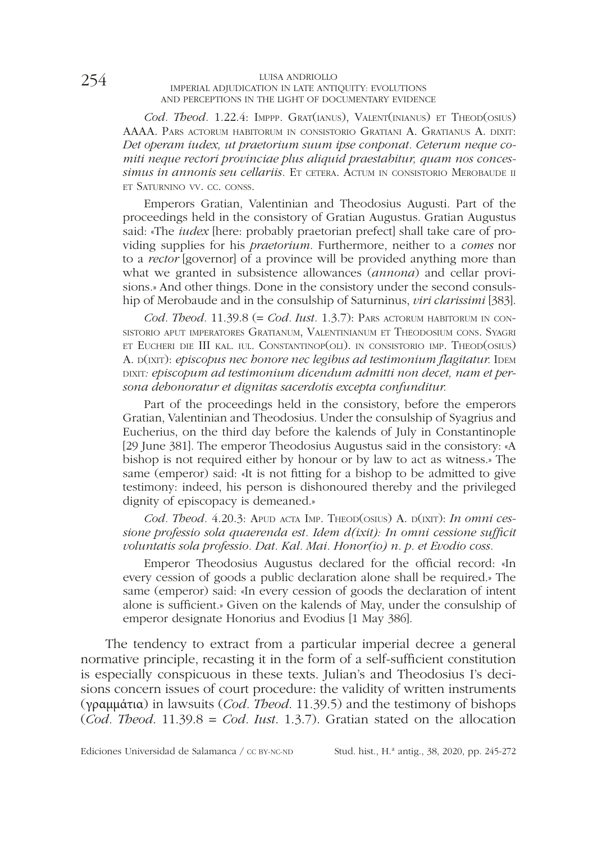*Cod. Theod.* 1.22.4: Imppp. Grat(ianus), Valent(inianus) et Theod(osius) AAAA. Pars actorum habitorum in consistorio Gratiani A. Gratianus A. dixit: *Det operam iudex, ut praetorium suum ipse conponat. Ceterum neque comiti neque rectori provinciae plus aliquid praestabitur, quam nos conces*simus in annonis seu cellariis. Et cetera. Actum in consistorio Merobaude ii et Saturnino vv. cc. conss.

Emperors Gratian, Valentinian and Theodosius Augusti. Part of the proceedings held in the consistory of Gratian Augustus. Gratian Augustus said: «The *iudex* [here: probably praetorian prefect] shall take care of providing supplies for his *praetorium*. Furthermore, neither to a *comes* nor to a *rector* [governor] of a province will be provided anything more than what we granted in subsistence allowances (*annona*) and cellar provisions.» And other things. Done in the consistory under the second consulship of Merobaude and in the consulship of Saturninus, *viri clarissimi* [383].

*Cod. Theod.* 11.39.8 (= *Cod. Iust.* 1.3.7): Pars actorum habitorum in consistorio aput imperatores Gratianum, Valentinianum et Theodosium cons. Syagri et Eucheri die III kal. iul. Constantinop(oli). in consistorio imp. Theod(osius) A.  $D(XIT)$ : *episcopus nec honore nec legibus ad testimonium flagitatur*. IDEM DIXIT: episcopum ad testimonium dicendum admitti non decet, nam et per*sona dehonoratur et dignitas sacerdotis excepta confunditur.*

Part of the proceedings held in the consistory, before the emperors Gratian, Valentinian and Theodosius. Under the consulship of Syagrius and Eucherius, on the third day before the kalends of July in Constantinople [29 June 381]. The emperor Theodosius Augustus said in the consistory: «A bishop is not required either by honour or by law to act as witness.» The same (emperor) said: «It is not ftting for a bishop to be admitted to give testimony: indeed, his person is dishonoured thereby and the privileged dignity of episcopacy is demeaned.»

Cod. Theod. 4.20.3: APUD ACTA IMP. THEOD(OSIUS) A. D(IXIT): *In omni cessione professio sola quaerenda est. Idem d(ixit): In omni cessione suffcit voluntatis sola professio. Dat. Kal. Mai. Honor(io) n. p. et Evodio coss.*

Emperor Theodosius Augustus declared for the official record: «In every cession of goods a public declaration alone shall be required.» The same (emperor) said: «In every cession of goods the declaration of intent alone is suffcient.» Given on the kalends of May, under the consulship of emperor designate Honorius and Evodius [1 May 386].

The tendency to extract from a particular imperial decree a general normative principle, recasting it in the form of a self-suffcient constitution is especially conspicuous in these texts. Julian's and Theodosius I's decisions concern issues of court procedure: the validity of written instruments (γραμμάτια) in lawsuits (*Cod. Theod*. 11.39.5) and the testimony of bishops (*Cod. Theod*. 11.39.8 = *Cod. Iust*. 1.3.7). Gratian stated on the allocation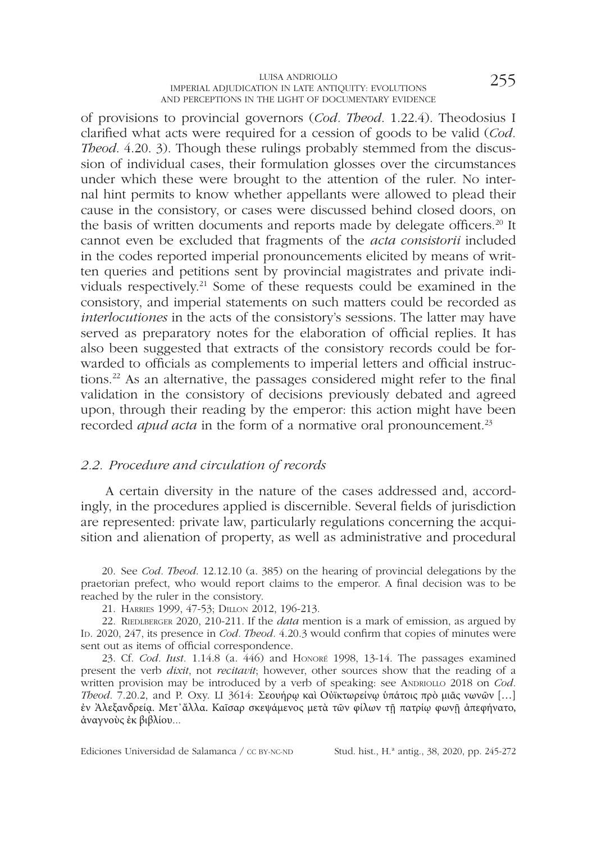of provisions to provincial governors (*Cod. Theod*. 1.22.4). Theodosius I clarifed what acts were required for a cession of goods to be valid (*Cod. Theod.* 4.20. 3). Though these rulings probably stemmed from the discussion of individual cases, their formulation glosses over the circumstances under which these were brought to the attention of the ruler. No internal hint permits to know whether appellants were allowed to plead their cause in the consistory, or cases were discussed behind closed doors, on the basis of written documents and reports made by delegate officers.<sup>20</sup> It cannot even be excluded that fragments of the *acta consistorii* included in the codes reported imperial pronouncements elicited by means of written queries and petitions sent by provincial magistrates and private individuals respectively.21 Some of these requests could be examined in the consistory, and imperial statements on such matters could be recorded as *interlocutiones* in the acts of the consistory's sessions. The latter may have served as preparatory notes for the elaboration of offcial replies. It has also been suggested that extracts of the consistory records could be forwarded to officials as complements to imperial letters and official instructions.22 As an alternative, the passages considered might refer to the fnal validation in the consistory of decisions previously debated and agreed upon, through their reading by the emperor: this action might have been recorded *apud acta* in the form of a normative oral pronouncement.<sup>23</sup>

#### *2.2. Procedure and circulation of records*

A certain diversity in the nature of the cases addressed and, accordingly, in the procedures applied is discernible. Several felds of jurisdiction are represented: private law, particularly regulations concerning the acquisition and alienation of property, as well as administrative and procedural

20. See *Cod. Theod*. 12.12.10 (a. 385) on the hearing of provincial delegations by the praetorian prefect, who would report claims to the emperor. A fnal decision was to be reached by the ruler in the consistory.

21. Harries 1999, 47-53; Dillon 2012, 196-213.

22. Riedlberger 2020, 210-211. If the *data* mention is a mark of emission, as argued by In. 2020, 247, its presence in *Cod. Theod.* 4.20.3 would confirm that copies of minutes were sent out as items of official correspondence.

23. Cf. *Cod. Iust.* 1.14.8 (a. 446) and Honoré 1998, 13-14. The passages examined present the verb *dixit*, not *recitavit*; however, other sources show that the reading of a written provision may be introduced by a verb of speaking: see ANDRIOLLO 2018 on *Cod. Theod.* 7.20.2, and P. Oxy. LI 3614: Σεουήρω καὶ Οὐϊκτωρείνω ὑπάτοις πρὸ μιᾶς νωνῶν [...] ἐν Ἀλεξανδρείᾳ. Μετ᾽ἄλλα. Καῖσαρ σκεψάμενος μετὰ τῶν φίλων τῇ πατρίῳ φωνῇ ἀπεφήνατο, ἀναγνοὺς ἐκ βιβλίου...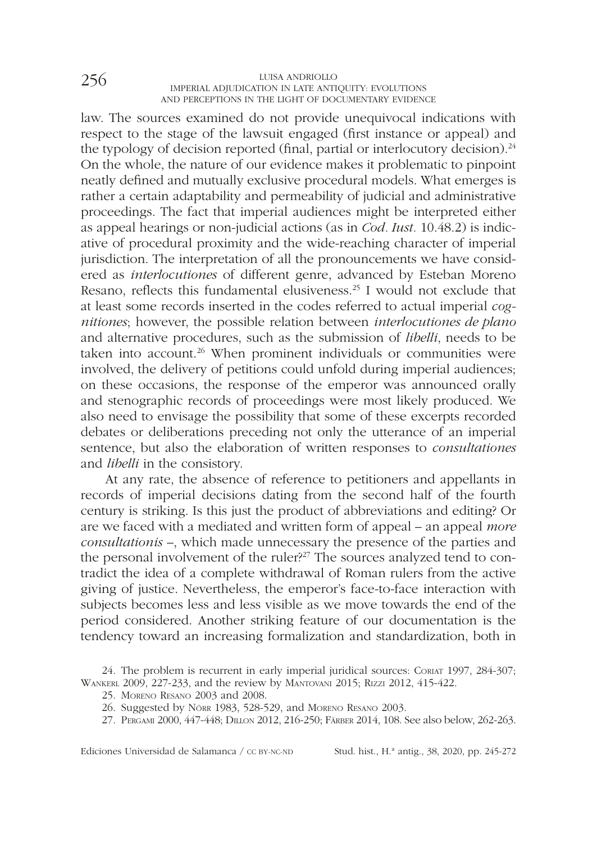law. The sources examined do not provide unequivocal indications with respect to the stage of the lawsuit engaged (frst instance or appeal) and the typology of decision reported (final, partial or interlocutory decision).<sup>24</sup> On the whole, the nature of our evidence makes it problematic to pinpoint neatly defned and mutually exclusive procedural models. What emerges is rather a certain adaptability and permeability of judicial and administrative proceedings. The fact that imperial audiences might be interpreted either as appeal hearings or non-judicial actions (as in *Cod. Iust.* 10.48.2) is indicative of procedural proximity and the wide-reaching character of imperial jurisdiction. The interpretation of all the pronouncements we have considered as *interlocutiones* of different genre, advanced by Esteban Moreno Resano, reflects this fundamental elusiveness.<sup>25</sup> I would not exclude that at least some records inserted in the codes referred to actual imperial *cognitiones*; however, the possible relation between *interlocutiones de plano* and alternative procedures, such as the submission of *libelli*, needs to be taken into account.<sup>26</sup> When prominent individuals or communities were involved, the delivery of petitions could unfold during imperial audiences; on these occasions, the response of the emperor was announced orally and stenographic records of proceedings were most likely produced. We also need to envisage the possibility that some of these excerpts recorded debates or deliberations preceding not only the utterance of an imperial sentence, but also the elaboration of written responses to *consultationes*  and *libelli* in the consistory.

At any rate, the absence of reference to petitioners and appellants in records of imperial decisions dating from the second half of the fourth century is striking. Is this just the product of abbreviations and editing? Or are we faced with a mediated and written form of appeal – an appeal *more consultationis* –, which made unnecessary the presence of the parties and the personal involvement of the ruler?<sup>27</sup> The sources analyzed tend to contradict the idea of a complete withdrawal of Roman rulers from the active giving of justice. Nevertheless, the emperor's face-to-face interaction with subjects becomes less and less visible as we move towards the end of the period considered. Another striking feature of our documentation is the tendency toward an increasing formalization and standardization, both in

25. Moreno Resano 2003 and 2008.

<sup>24.</sup> The problem is recurrent in early imperial juridical sources: Coriat 1997, 284-307; Wankerl 2009, 227-233, and the review by Mantovani 2015; Rizzi 2012, 415-422.

<sup>26.</sup> Suggested by Nörr 1983, 528-529, and Moreno Resano 2003.

<sup>27.</sup> Pergami 2000, 447-448; Dillon 2012, 216-250; Färber 2014, 108. See also below, 262-263.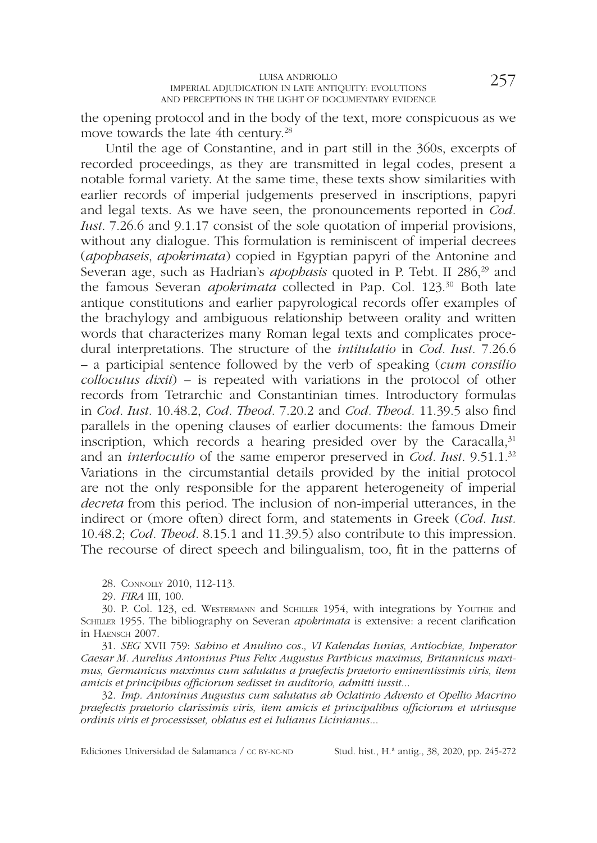the opening protocol and in the body of the text, more conspicuous as we move towards the late 4th century.<sup>28</sup>

Until the age of Constantine, and in part still in the 360s, excerpts of recorded proceedings, as they are transmitted in legal codes, present a notable formal variety. At the same time, these texts show similarities with earlier records of imperial judgements preserved in inscriptions, papyri and legal texts. As we have seen, the pronouncements reported in *Cod. Iust*. 7.26.6 and 9.1.17 consist of the sole quotation of imperial provisions, without any dialogue. This formulation is reminiscent of imperial decrees (*apophaseis*, *apokrimata*) copied in Egyptian papyri of the Antonine and Severan age, such as Hadrian's *apophasis* quoted in P. Tebt. II 286,<sup>29</sup> and the famous Severan *apokrimata* collected in Pap. Col. 123.30 Both late antique constitutions and earlier papyrological records offer examples of the brachylogy and ambiguous relationship between orality and written words that characterizes many Roman legal texts and complicates procedural interpretations. The structure of the *intitulatio* in *Cod. Iust.* 7.26.6 – a participial sentence followed by the verb of speaking (*cum consilio collocutus dixit*) – is repeated with variations in the protocol of other records from Tetrarchic and Constantinian times. Introductory formulas in *Cod. Iust*. 10.48.2, *Cod. Theod*. 7.20.2 and *Cod. Theod.* 11.39.5 also fnd parallels in the opening clauses of earlier documents: the famous Dmeir inscription, which records a hearing presided over by the Caracalla, $31$ and an *interlocutio* of the same emperor preserved in *Cod. Iust*. 9.51.1.32 Variations in the circumstantial details provided by the initial protocol are not the only responsible for the apparent heterogeneity of imperial *decreta* from this period. The inclusion of non-imperial utterances, in the indirect or (more often) direct form, and statements in Greek (*Cod. Iust.* 10.48.2; *Cod. Theod*. 8.15.1 and 11.39.5) also contribute to this impression. The recourse of direct speech and bilingualism, too, ft in the patterns of

28. Connolly 2010, 112-113.

29. *FIRA* III, 100.

30. P. Col. 123, ed. Westermann and Schiller 1954, with integrations by Youthie and Schiller 1955. The bibliography on Severan *apokrimata* is extensive: a recent clarifcation in Haensch 2007.

31. *SEG* XVII 759: *Sabino et Anulino cos., VI Kalendas Iunias, Antiochiae, Imperator Caesar M. Aurelius Antoninus Pius Felix Augustus Parthicus maximus, Britannicus maximus, Germanicus maximus cum salutatus a praefectis praetorio eminentissimis viris, item amicis et principibus offciorum sedisset in auditorio, admitti iussit*...

32. *Imp. Antoninus Augustus cum salutatus ab Oclatinio Advento et Opellio Macrino praefectis praetorio clarissimis viris, item amicis et principalibus offciorum et utriusque ordinis viris et processisset, oblatus est ei Iulianus Licinianus*...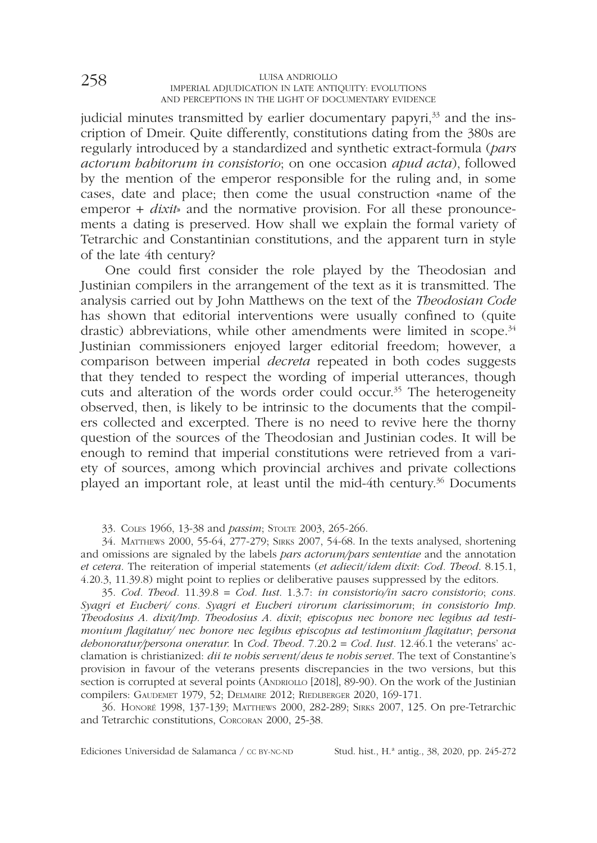judicial minutes transmitted by earlier documentary papyri,<sup>33</sup> and the inscription of Dmeir. Quite differently, constitutions dating from the 380s are regularly introduced by a standardized and synthetic extract-formula (*pars actorum habitorum in consistorio*; on one occasion *apud acta*), followed by the mention of the emperor responsible for the ruling and, in some cases, date and place; then come the usual construction «name of the emperor + *dixit*<sup>s</sup> and the normative provision. For all these pronouncements a dating is preserved. How shall we explain the formal variety of Tetrarchic and Constantinian constitutions, and the apparent turn in style of the late 4th century?

One could frst consider the role played by the Theodosian and Justinian compilers in the arrangement of the text as it is transmitted. The analysis carried out by John Matthews on the text of the *Theodosian Code*  has shown that editorial interventions were usually confned to (quite drastic) abbreviations, while other amendments were limited in scope.<sup>34</sup> Justinian commissioners enjoyed larger editorial freedom; however, a comparison between imperial *decreta* repeated in both codes suggests that they tended to respect the wording of imperial utterances, though cuts and alteration of the words order could occur.<sup>35</sup> The heterogeneity observed, then, is likely to be intrinsic to the documents that the compilers collected and excerpted. There is no need to revive here the thorny question of the sources of the Theodosian and Justinian codes. It will be enough to remind that imperial constitutions were retrieved from a variety of sources, among which provincial archives and private collections played an important role, at least until the mid-4th century.36 Documents

33. Coles 1966, 13-38 and *passim*; Stolte 2003, 265-266.

34. Matthews 2000, 55-64, 277-279; Sirks 2007, 54-68. In the texts analysed, shortening and omissions are signaled by the labels *pars actorum/pars sententiae* and the annotation *et cetera*. The reiteration of imperial statements (*et adiecit*/*idem dixit*: *Cod. Theod*. 8.15.1, 4.20.3, 11.39.8) might point to replies or deliberative pauses suppressed by the editors.

35. *Cod. Theod.* 11.39.8 = *Cod. Iust*. 1.3.7: *in consistorio/in sacro consistorio*; *cons. Syagri et Eucheri/ cons. Syagri et Eucheri virorum clarissimorum*; *in consistorio Imp. Theodosius A. dixit/Imp. Theodosius A. dixit*; *episcopus nec honore nec legibus ad testimonium fagitatur/ nec honore nec legibus episcopus ad testimonium fagitatur*; *persona dehonoratur/persona oneratur.* In *Cod. Theod.* 7.20.2 = *Cod. Iust*. 12.46.1 the veterans' acclamation is christianized: *dii te nobis servent*/*deus te nobis servet*. The text of Constantine's provision in favour of the veterans presents discrepancies in the two versions, but this section is corrupted at several points (ANDRIOLLO [2018], 89-90). On the work of the Justinian compilers: Gaudemet 1979, 52; Delmaire 2012; Riedlberger 2020, 169-171.

36. Honoré 1998, 137-139; Matthews 2000, 282-289; Sirks 2007, 125. On pre-Tetrarchic and Tetrarchic constitutions, Corcoran 2000, 25-38.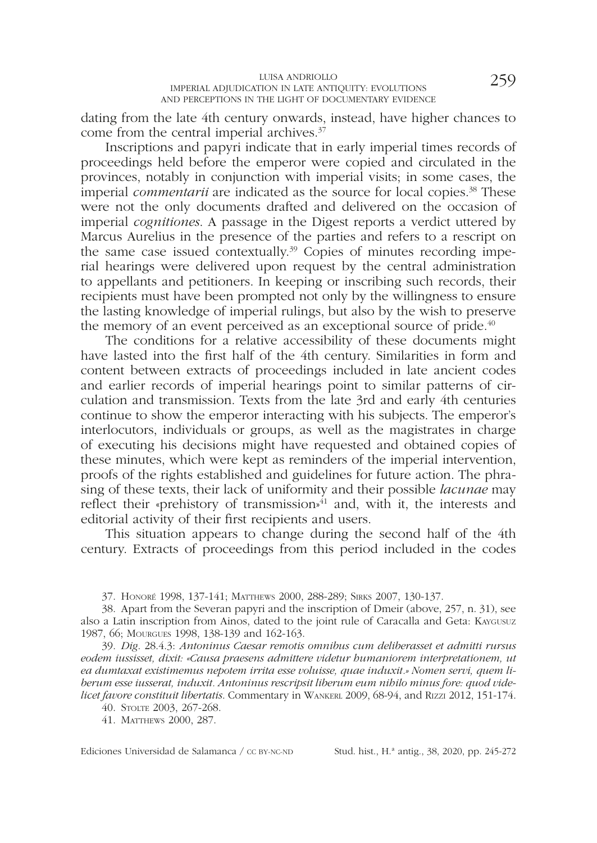dating from the late 4th century onwards, instead, have higher chances to come from the central imperial archives.37

Inscriptions and papyri indicate that in early imperial times records of proceedings held before the emperor were copied and circulated in the provinces, notably in conjunction with imperial visits; in some cases, the imperial *commentarii* are indicated as the source for local copies.38 These were not the only documents drafted and delivered on the occasion of imperial *cognitiones*. A passage in the Digest reports a verdict uttered by Marcus Aurelius in the presence of the parties and refers to a rescript on the same case issued contextually.<sup>39</sup> Copies of minutes recording imperial hearings were delivered upon request by the central administration to appellants and petitioners. In keeping or inscribing such records, their recipients must have been prompted not only by the willingness to ensure the lasting knowledge of imperial rulings, but also by the wish to preserve the memory of an event perceived as an exceptional source of pride.<sup>40</sup>

The conditions for a relative accessibility of these documents might have lasted into the frst half of the 4th century. Similarities in form and content between extracts of proceedings included in late ancient codes and earlier records of imperial hearings point to similar patterns of circulation and transmission. Texts from the late 3rd and early 4th centuries continue to show the emperor interacting with his subjects. The emperor's interlocutors, individuals or groups, as well as the magistrates in charge of executing his decisions might have requested and obtained copies of these minutes, which were kept as reminders of the imperial intervention, proofs of the rights established and guidelines for future action. The phrasing of these texts, their lack of uniformity and their possible *lacunae* may reflect their «prehistory of transmission» $^{41}$  and, with it, the interests and editorial activity of their frst recipients and users.

This situation appears to change during the second half of the 4th century. Extracts of proceedings from this period included in the codes

37. Honoré 1998, 137-141; Matthews 2000, 288-289; Sirks 2007, 130-137.

38. Apart from the Severan papyri and the inscription of Dmeir (above, 257, n. 31), see also a Latin inscription from Ainos, dated to the joint rule of Caracalla and Geta: Kaygusuz 1987, 66; Mourgues 1998, 138-139 and 162-163.

39. *Dig*. 28.4.3: *Antoninus Caesar remotis omnibus cum deliberasset et admitti rursus eodem iussisset, dixit: «Causa praesens admittere videtur humaniorem interpretationem, ut ea dumtaxat existimemus nepotem irrita esse voluisse, quae induxit.» Nomen servi, quem liberum esse iusserat, induxit. Antoninus rescripsit liberum eum nihilo minus fore: quod videlicet favore constituit libertatis*. Commentary in WANKERL 2009, 68-94, and RIZZI 2012, 151-174.

40. Stolte 2003, 267-268.

41. Matthews 2000, 287.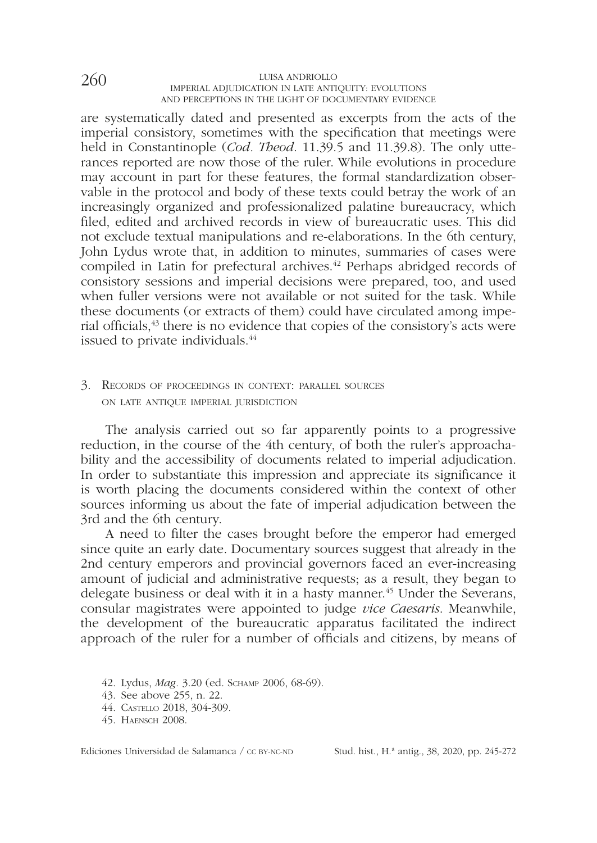are systematically dated and presented as excerpts from the acts of the imperial consistory, sometimes with the specifcation that meetings were held in Constantinople (*Cod. Theod*. 11.39.5 and 11.39.8). The only utterances reported are now those of the ruler. While evolutions in procedure may account in part for these features, the formal standardization observable in the protocol and body of these texts could betray the work of an increasingly organized and professionalized palatine bureaucracy, which fled, edited and archived records in view of bureaucratic uses. This did not exclude textual manipulations and re-elaborations. In the 6th century, John Lydus wrote that, in addition to minutes, summaries of cases were compiled in Latin for prefectural archives.<sup>42</sup> Perhaps abridged records of consistory sessions and imperial decisions were prepared, too, and used when fuller versions were not available or not suited for the task. While these documents (or extracts of them) could have circulated among imperial offcials,43 there is no evidence that copies of the consistory's acts were issued to private individuals.<sup>44</sup>

#### 3. Records of proceedings in context: parallel sources on late antique imperial jurisdiction

The analysis carried out so far apparently points to a progressive reduction, in the course of the 4th century, of both the ruler's approachability and the accessibility of documents related to imperial adjudication. In order to substantiate this impression and appreciate its signifcance it is worth placing the documents considered within the context of other sources informing us about the fate of imperial adjudication between the 3rd and the 6th century.

A need to flter the cases brought before the emperor had emerged since quite an early date. Documentary sources suggest that already in the 2nd century emperors and provincial governors faced an ever-increasing amount of judicial and administrative requests; as a result, they began to delegate business or deal with it in a hasty manner.<sup>45</sup> Under the Severans, consular magistrates were appointed to judge *vice Caesaris*. Meanwhile, the development of the bureaucratic apparatus facilitated the indirect approach of the ruler for a number of offcials and citizens, by means of

42. Lydus, *Mag.* 3.20 (ed. Schamp 2006, 68-69).

43. See above 255, n. 22.

44. Castello 2018, 304-309.

45. Haensch 2008.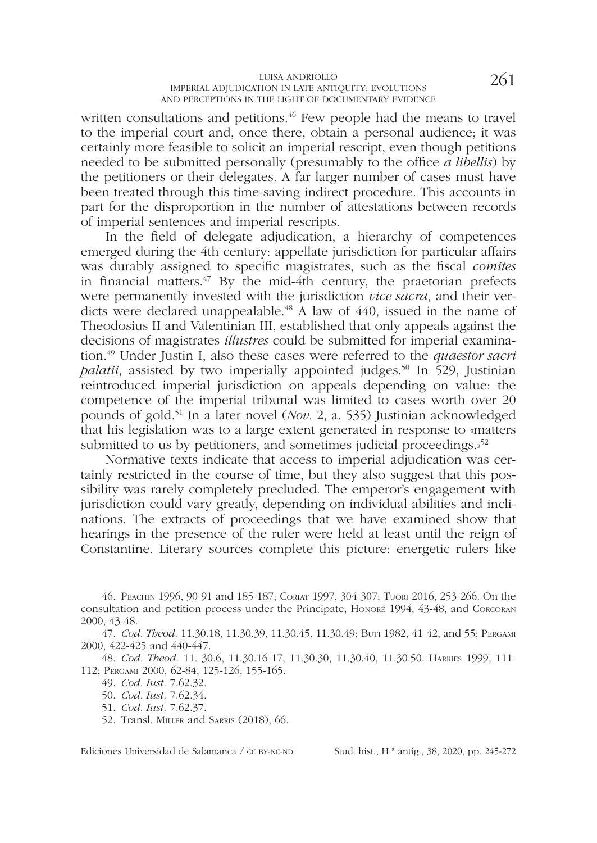written consultations and petitions.<sup>46</sup> Few people had the means to travel to the imperial court and, once there, obtain a personal audience; it was certainly more feasible to solicit an imperial rescript, even though petitions needed to be submitted personally (presumably to the office *a libellis*) by the petitioners or their delegates. A far larger number of cases must have been treated through this time-saving indirect procedure. This accounts in part for the disproportion in the number of attestations between records of imperial sentences and imperial rescripts.

In the feld of delegate adjudication, a hierarchy of competences emerged during the 4th century: appellate jurisdiction for particular affairs was durably assigned to specifc magistrates, such as the fscal *comites* in financial matters.<sup>47</sup> By the mid-4th century, the praetorian prefects were permanently invested with the jurisdiction *vice sacra*, and their verdicts were declared unappealable.<sup>48</sup> A law of 440, issued in the name of Theodosius II and Valentinian III, established that only appeals against the decisions of magistrates *illustres* could be submitted for imperial examination.49 Under Justin I, also these cases were referred to the *quaestor sacri palatii*, assisted by two imperially appointed judges.<sup>50</sup> In 529, Justinian reintroduced imperial jurisdiction on appeals depending on value: the competence of the imperial tribunal was limited to cases worth over 20 pounds of gold.51 In a later novel (*Nov*. 2, a. 535) Justinian acknowledged that his legislation was to a large extent generated in response to «matters submitted to us by petitioners, and sometimes judicial proceedings. $s^{52}$ 

Normative texts indicate that access to imperial adjudication was certainly restricted in the course of time, but they also suggest that this possibility was rarely completely precluded. The emperor's engagement with jurisdiction could vary greatly, depending on individual abilities and inclinations. The extracts of proceedings that we have examined show that hearings in the presence of the ruler were held at least until the reign of Constantine. Literary sources complete this picture: energetic rulers like

47. *Cod. Theod.* 11.30.18, 11.30.39, 11.30.45, 11.30.49; Buti 1982, 41-42, and 55; Pergami 2000, 422-425 and 440-447.

48. *Cod. Theod.* 11. 30.6, 11.30.16-17, 11.30.30, 11.30.40, 11.30.50. Harries 1999, 111- 112; Pergami 2000, 62-84, 125-126, 155-165.

49. *Cod. Iust.* 7.62.32.

50. *Cod. Iust.* 7.62.34.

51. *Cod. Iust.* 7.62.37.

52. Transl. Miller and Sarris (2018), 66.

<sup>46.</sup> Peachin 1996, 90-91 and 185-187; Coriat 1997, 304-307; Tuori 2016, 253-266. On the consultation and petition process under the Principate, Honoré 1994, 43-48, and Corcoran 2000, 43-48.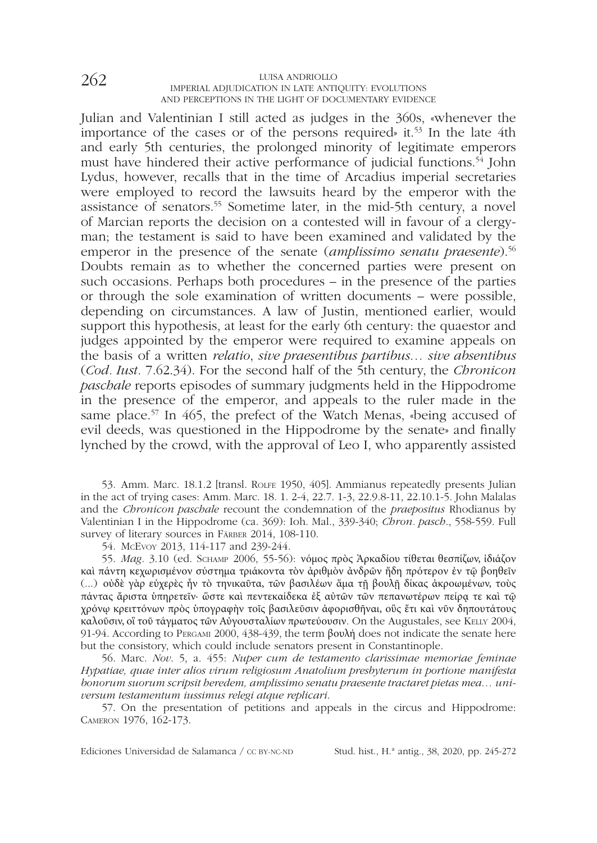Julian and Valentinian I still acted as judges in the 360s, «whenever the importance of the cases or of the persons required» it.<sup>53</sup> In the late 4th and early 5th centuries, the prolonged minority of legitimate emperors must have hindered their active performance of judicial functions.<sup>54</sup> John Lydus, however, recalls that in the time of Arcadius imperial secretaries were employed to record the lawsuits heard by the emperor with the assistance of senators.55 Sometime later, in the mid-5th century, a novel of Marcian reports the decision on a contested will in favour of a clergyman; the testament is said to have been examined and validated by the emperor in the presence of the senate (*amplissimo senatu praesente*).<sup>56</sup> Doubts remain as to whether the concerned parties were present on such occasions. Perhaps both procedures – in the presence of the parties or through the sole examination of written documents – were possible, depending on circumstances. A law of Justin, mentioned earlier, would support this hypothesis, at least for the early 6th century: the quaestor and judges appointed by the emperor were required to examine appeals on the basis of a written *relatio*, *sive praesentibus partibus… sive absentibus*  (*Cod. Iust.* 7.62.34). For the second half of the 5th century, the *Chronicon paschale* reports episodes of summary judgments held in the Hippodrome in the presence of the emperor, and appeals to the ruler made in the same place.<sup>57</sup> In 465, the prefect of the Watch Menas, «being accused of evil deeds, was questioned in the Hippodrome by the senate» and fnally lynched by the crowd, with the approval of Leo I, who apparently assisted

53. Amm. Marc. 18.1.2 [transl. RoLFE 1950, 405]. Ammianus repeatedly presents Julian in the act of trying cases: Amm. Marc. 18. 1. 2-4, 22.7. 1-3, 22.9.8-11, 22.10.1-5. John Malalas and the *Chronicon paschale* recount the condemnation of the *praepositus* Rhodianus by Valentinian I in the Hippodrome (ca. 369): Ioh. Mal., 339-340; *Chron. pasch*., 558-559. Full survey of literary sources in FÄRBER 2014, 108-110.

54. McEvoy 2013, 114-117 and 239-244.

55. *Mag*. 3.10 (ed. Schamp 2006, 55-56): νόμος πρὸς Ἀρκαδίου τίθεται θεσπίζων, ἰδιάζον καὶ πάντη κεχωρισμένον σύστημα τριάκοντα τὸν ἀριθμὸν ἀνδρῶν ἤδη πρότερον ἐν τῷ βοηθεῖν (...) οὐδὲ γὰρ εὐχερὲς ἦν τὸ τηνικαῦτα, τῶν βασιλέων ἅμα τῇ βουλῇ δίκας ἀκροωμένων, τοὺς πάντας ἄριστα ὑπηρετεῖν· ὥστε καὶ πεντεκαίδεκα ἐξ αὐτῶν τῶν πεπανωτέρων πείρᾳ τε καὶ τῷ χρόνῳ κρειττόνων πρὸς ὑπογραφὴν τοῖς βασιλεῦσιν ἀφορισθῆναι, οὓς ἔτι καὶ νῦν δηπουτάτους καλοῦσιν, οἳ τοῦ τάγματος τῶν Αὐγουσταλίων πρωτεύουσιν. On the Augustales, see Kelly 2004, 91-94. According to Pergami 2000, 438-439, the term βουλή does not indicate the senate here but the consistory, which could include senators present in Constantinople.

56. Marc. *Nov*. 5, a. 455: *Nuper cum de testamento clarissimae memoriae feminae Hypatiae, quae inter alios virum religiosum Anatolium presbyterum in portione manifesta bonorum suorum scripsit heredem, amplissimo senatu praesente tractaret pietas mea… universum testamentum iussimus relegi atque replicari*.

57. On the presentation of petitions and appeals in the circus and Hippodrome: Cameron 1976, 162-173.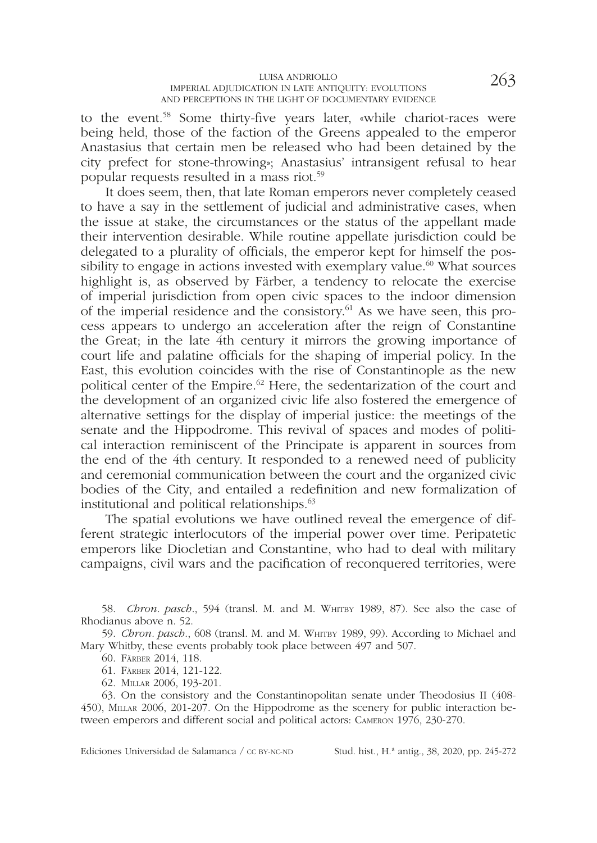### LUISA ANDRIOLLO  $_{\rm 263}$  and  $_{\rm 263}$ AND PERCEPTIONS IN THE LIGHT OF DOCUMENTARY EVIDENCE

to the event.58 Some thirty-fve years later, «while chariot-races were being held, those of the faction of the Greens appealed to the emperor Anastasius that certain men be released who had been detained by the city prefect for stone-throwing»; Anastasius' intransigent refusal to hear popular requests resulted in a mass riot.59

It does seem, then, that late Roman emperors never completely ceased to have a say in the settlement of judicial and administrative cases, when the issue at stake, the circumstances or the status of the appellant made their intervention desirable. While routine appellate jurisdiction could be delegated to a plurality of officials, the emperor kept for himself the possibility to engage in actions invested with exemplary value.<sup>60</sup> What sources highlight is, as observed by Färber, a tendency to relocate the exercise of imperial jurisdiction from open civic spaces to the indoor dimension of the imperial residence and the consistory.61 As we have seen, this process appears to undergo an acceleration after the reign of Constantine the Great; in the late 4th century it mirrors the growing importance of court life and palatine offcials for the shaping of imperial policy. In the East, this evolution coincides with the rise of Constantinople as the new political center of the Empire.<sup>62</sup> Here, the sedentarization of the court and the development of an organized civic life also fostered the emergence of alternative settings for the display of imperial justice: the meetings of the senate and the Hippodrome. This revival of spaces and modes of political interaction reminiscent of the Principate is apparent in sources from the end of the 4th century. It responded to a renewed need of publicity and ceremonial communication between the court and the organized civic bodies of the City, and entailed a redefnition and new formalization of institutional and political relationships.<sup>63</sup>

The spatial evolutions we have outlined reveal the emergence of different strategic interlocutors of the imperial power over time. Peripatetic emperors like Diocletian and Constantine, who had to deal with military campaigns, civil wars and the pacifcation of reconquered territories, were

58. *Chron. pasch.*, 594 (transl. M. and M. WHITBY 1989, 87). See also the case of Rhodianus above n. 52.

59. *Chron. pasch.*, 608 (transl. M. and M. WHITBY 1989, 99). According to Michael and Mary Whitby, these events probably took place between 497 and 507.

60. Färber 2014, 118.

61. Färber 2014, 121-122.

62. Millar 2006, 193-201.

63. On the consistory and the Constantinopolitan senate under Theodosius II (408- 450), Millar 2006, 201-207. On the Hippodrome as the scenery for public interaction between emperors and different social and political actors: Cameron 1976, 230-270.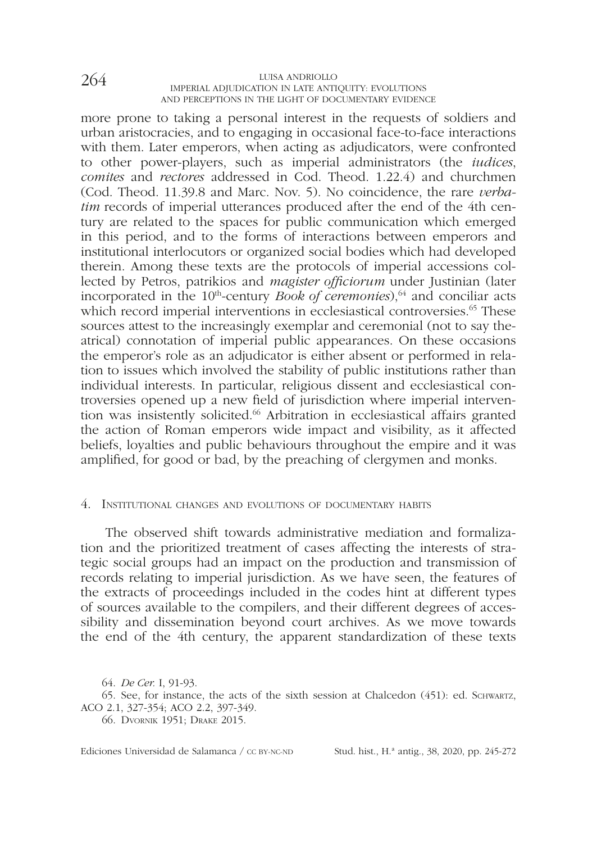more prone to taking a personal interest in the requests of soldiers and urban aristocracies, and to engaging in occasional face-to-face interactions with them. Later emperors, when acting as adjudicators, were confronted to other power-players, such as imperial administrators (the *iudices*, *comites* and *rectores* addressed in Cod. Theod. 1.22.4) and churchmen (Cod. Theod. 11.39.8 and Marc. Nov. 5). No coincidence, the rare *verbatim* records of imperial utterances produced after the end of the 4th century are related to the spaces for public communication which emerged in this period, and to the forms of interactions between emperors and institutional interlocutors or organized social bodies which had developed therein. Among these texts are the protocols of imperial accessions collected by Petros, patrikios and *magister offciorum* under Justinian (later incorporated in the 10<sup>th</sup>-century *Book of ceremonies*),<sup>64</sup> and conciliar acts which record imperial interventions in ecclesiastical controversies.<sup>65</sup> These sources attest to the increasingly exemplar and ceremonial (not to say theatrical) connotation of imperial public appearances. On these occasions the emperor's role as an adjudicator is either absent or performed in relation to issues which involved the stability of public institutions rather than individual interests. In particular, religious dissent and ecclesiastical controversies opened up a new feld of jurisdiction where imperial intervention was insistently solicited.66 Arbitration in ecclesiastical affairs granted the action of Roman emperors wide impact and visibility, as it affected beliefs, loyalties and public behaviours throughout the empire and it was amplifed, for good or bad, by the preaching of clergymen and monks.

#### 4. Institutional changes and evolutions of documentary habits

The observed shift towards administrative mediation and formalization and the prioritized treatment of cases affecting the interests of strategic social groups had an impact on the production and transmission of records relating to imperial jurisdiction. As we have seen, the features of the extracts of proceedings included in the codes hint at different types of sources available to the compilers, and their different degrees of accessibility and dissemination beyond court archives. As we move towards the end of the 4th century, the apparent standardization of these texts

<sup>64.</sup> *De Cer.* I, 91-93.

<sup>65.</sup> See, for instance, the acts of the sixth session at Chalcedon (451): ed. Schwartz, ACO 2.1, 327-354; ACO 2.2, 397-349.

<sup>66.</sup> Dvornik 1951; Drake 2015.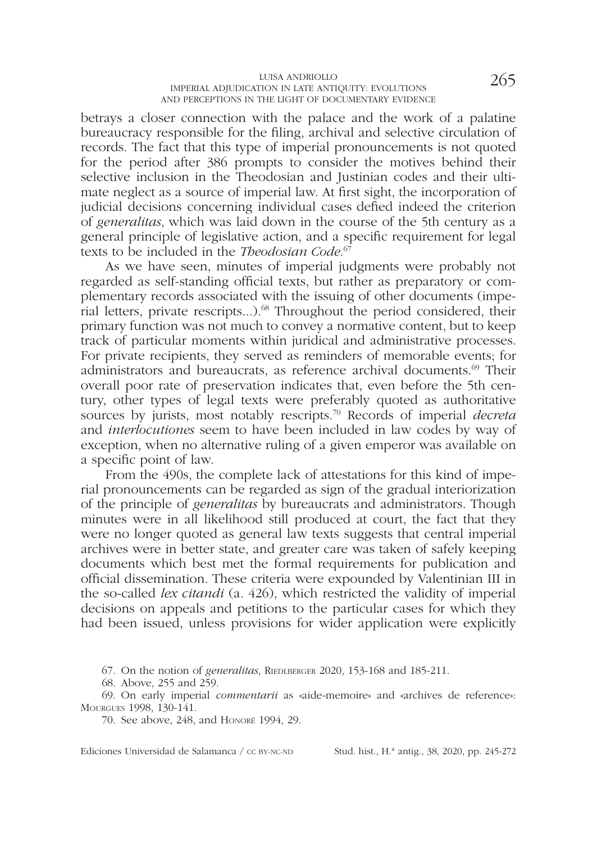betrays a closer connection with the palace and the work of a palatine bureaucracy responsible for the fling, archival and selective circulation of records. The fact that this type of imperial pronouncements is not quoted for the period after 386 prompts to consider the motives behind their selective inclusion in the Theodosian and Justinian codes and their ultimate neglect as a source of imperial law. At frst sight, the incorporation of judicial decisions concerning individual cases defed indeed the criterion of *generalitas*, which was laid down in the course of the 5th century as a general principle of legislative action, and a specifc requirement for legal texts to be included in the *Theodosian Code*. 67

As we have seen, minutes of imperial judgments were probably not regarded as self-standing official texts, but rather as preparatory or complementary records associated with the issuing of other documents (imperial letters, private rescripts...).68 Throughout the period considered, their primary function was not much to convey a normative content, but to keep track of particular moments within juridical and administrative processes. For private recipients, they served as reminders of memorable events; for administrators and bureaucrats, as reference archival documents.<sup>69</sup> Their overall poor rate of preservation indicates that, even before the 5th century, other types of legal texts were preferably quoted as authoritative sources by jurists, most notably rescripts.70 Records of imperial *decreta*  and *interlocutiones* seem to have been included in law codes by way of exception, when no alternative ruling of a given emperor was available on a specifc point of law.

From the 490s, the complete lack of attestations for this kind of imperial pronouncements can be regarded as sign of the gradual interiorization of the principle of *generalitas* by bureaucrats and administrators. Though minutes were in all likelihood still produced at court, the fact that they were no longer quoted as general law texts suggests that central imperial archives were in better state, and greater care was taken of safely keeping documents which best met the formal requirements for publication and official dissemination. These criteria were expounded by Valentinian III in the so-called *lex citandi* (a. 426), which restricted the validity of imperial decisions on appeals and petitions to the particular cases for which they had been issued, unless provisions for wider application were explicitly

67. On the notion of *generalitas*, RIEDLBERGER 2020, 153-168 and 185-211.

68. Above, 255 and 259.

69. On early imperial *commentarii* as «aide-memoire» and «archives de reference»: Mourgues 1998, 130-141.

70. See above, 248, and Honoré 1994, 29.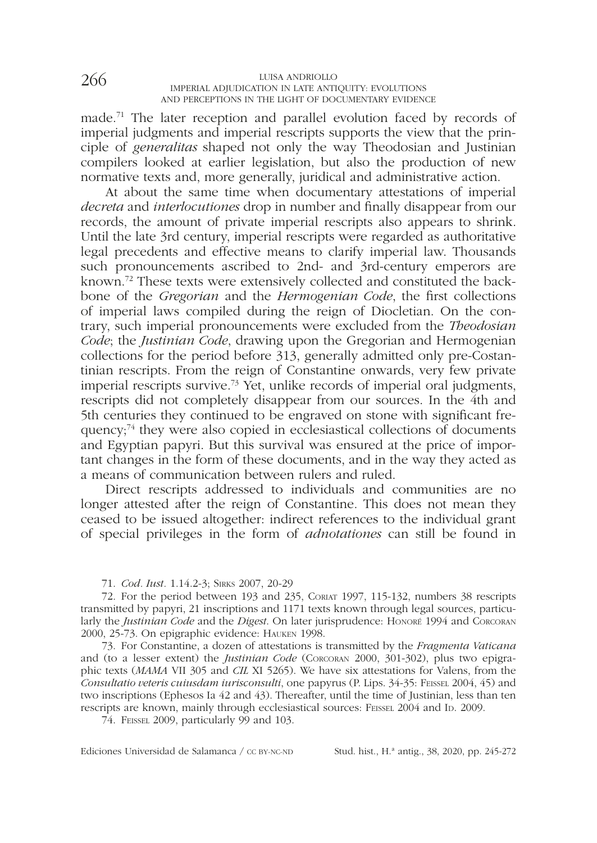made.71 The later reception and parallel evolution faced by records of imperial judgments and imperial rescripts supports the view that the principle of *generalitas* shaped not only the way Theodosian and Justinian compilers looked at earlier legislation, but also the production of new normative texts and, more generally, juridical and administrative action.

At about the same time when documentary attestations of imperial *decreta* and *interlocutiones* drop in number and fnally disappear from our records, the amount of private imperial rescripts also appears to shrink. Until the late 3rd century, imperial rescripts were regarded as authoritative legal precedents and effective means to clarify imperial law. Thousands such pronouncements ascribed to 2nd- and 3rd-century emperors are known.72 These texts were extensively collected and constituted the backbone of the *Gregorian* and the *Hermogenian Code*, the frst collections of imperial laws compiled during the reign of Diocletian. On the contrary, such imperial pronouncements were excluded from the *Theodosian Code*; the *Justinian Code*, drawing upon the Gregorian and Hermogenian collections for the period before 313, generally admitted only pre-Costantinian rescripts. From the reign of Constantine onwards, very few private imperial rescripts survive.73 Yet, unlike records of imperial oral judgments, rescripts did not completely disappear from our sources. In the 4th and 5th centuries they continued to be engraved on stone with signifcant frequency;74 they were also copied in ecclesiastical collections of documents and Egyptian papyri. But this survival was ensured at the price of important changes in the form of these documents, and in the way they acted as a means of communication between rulers and ruled.

Direct rescripts addressed to individuals and communities are no longer attested after the reign of Constantine. This does not mean they ceased to be issued altogether: indirect references to the individual grant of special privileges in the form of *adnotationes* can still be found in

71. *Cod. Iust.* 1.14.2-3; Sirks 2007, 20-29

72. For the period between 193 and 235, Coriat 1997, 115-132, numbers 38 rescripts transmitted by papyri, 21 inscriptions and 1171 texts known through legal sources, particularly the *Justinian Code* and the *Digest*. On later jurisprudence: Honoré 1994 and Corcoran 2000, 25-73. On epigraphic evidence: Hauken 1998.

73. For Constantine, a dozen of attestations is transmitted by the *Fragmenta Vaticana* and (to a lesser extent) the *Justinian Code* (Corcoran 2000, 301-302), plus two epigraphic texts (*MAMA* VII 305 and *CIL* XI 5265). We have six attestations for Valens, from the *Consultatio veteris cuiusdam iurisconsulti*, one papyrus (P. Lips. 34-35: Feissel 2004, 45) and two inscriptions (Ephesos Ia 42 and 43). Thereafter, until the time of Justinian, less than ten rescripts are known, mainly through ecclesiastical sources: FEISSEL 2004 and ID. 2009.

74. Feissel 2009, particularly 99 and 103.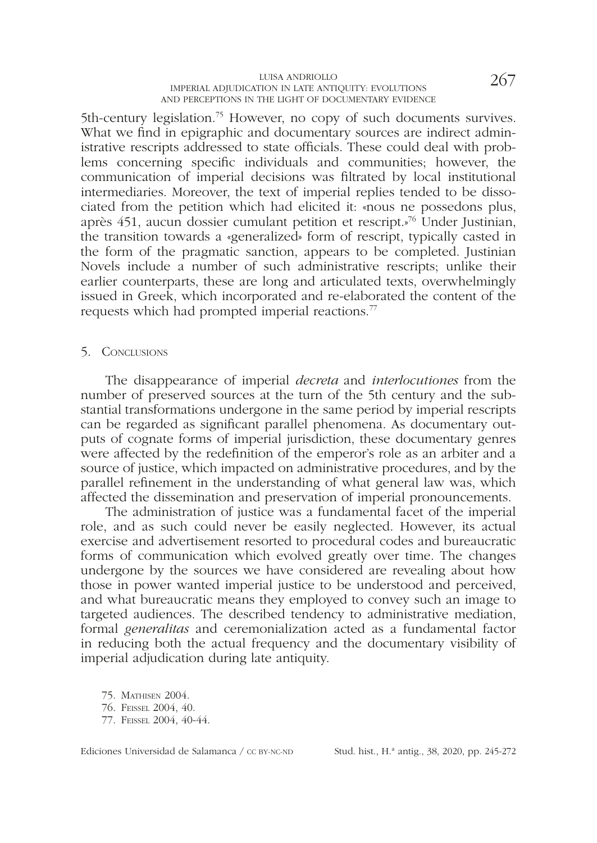### LUISA ANDRIOLLO  $_{\rm 267}$  and  $_{\rm 27}$  and  $_{\rm 27}$  and  $_{\rm 27}$  and  $_{\rm 27}$  and  $_{\rm 28}$ AND PERCEPTIONS IN THE LIGHT OF DOCUMENTARY EVIDENCE

5th-century legislation.<sup>75</sup> However, no copy of such documents survives. What we find in epigraphic and documentary sources are indirect administrative rescripts addressed to state officials. These could deal with problems concerning specifc individuals and communities; however, the communication of imperial decisions was fltrated by local institutional intermediaries. Moreover, the text of imperial replies tended to be dissociated from the petition which had elicited it: «nous ne possedons plus, après 451, aucun dossier cumulant petition et rescript.»76 Under Justinian, the transition towards a «generalized» form of rescript, typically casted in the form of the pragmatic sanction, appears to be completed. Justinian Novels include a number of such administrative rescripts; unlike their earlier counterparts, these are long and articulated texts, overwhelmingly issued in Greek, which incorporated and re-elaborated the content of the requests which had prompted imperial reactions.77

#### 5. CONCLUSIONS

The disappearance of imperial *decreta* and *interlocutiones* from the number of preserved sources at the turn of the 5th century and the substantial transformations undergone in the same period by imperial rescripts can be regarded as signifcant parallel phenomena. As documentary outputs of cognate forms of imperial jurisdiction, these documentary genres were affected by the redefnition of the emperor's role as an arbiter and a source of justice, which impacted on administrative procedures, and by the parallel refnement in the understanding of what general law was, which affected the dissemination and preservation of imperial pronouncements.

The administration of justice was a fundamental facet of the imperial role, and as such could never be easily neglected. However, its actual exercise and advertisement resorted to procedural codes and bureaucratic forms of communication which evolved greatly over time. The changes undergone by the sources we have considered are revealing about how those in power wanted imperial justice to be understood and perceived, and what bureaucratic means they employed to convey such an image to targeted audiences. The described tendency to administrative mediation, formal *generalitas* and ceremonialization acted as a fundamental factor in reducing both the actual frequency and the documentary visibility of imperial adjudication during late antiquity.

75. Mathisen 2004. 76. Feissel 2004, 40. 77. Feissel 2004, 40-44.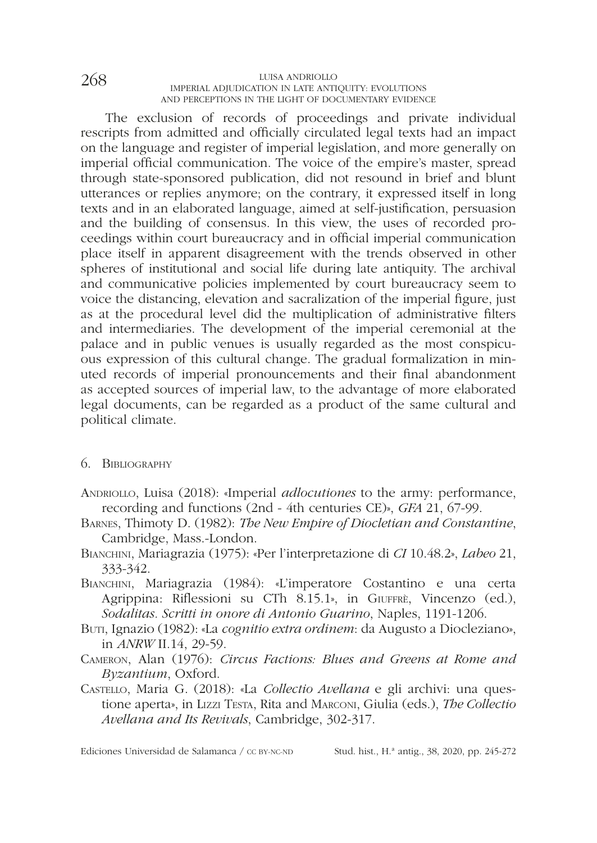The exclusion of records of proceedings and private individual rescripts from admitted and officially circulated legal texts had an impact on the language and register of imperial legislation, and more generally on imperial official communication. The voice of the empire's master, spread through state-sponsored publication, did not resound in brief and blunt utterances or replies anymore; on the contrary, it expressed itself in long texts and in an elaborated language, aimed at self-justifcation, persuasion and the building of consensus. In this view, the uses of recorded proceedings within court bureaucracy and in offcial imperial communication place itself in apparent disagreement with the trends observed in other spheres of institutional and social life during late antiquity. The archival and communicative policies implemented by court bureaucracy seem to voice the distancing, elevation and sacralization of the imperial fgure, just as at the procedural level did the multiplication of administrative flters and intermediaries. The development of the imperial ceremonial at the palace and in public venues is usually regarded as the most conspicuous expression of this cultural change. The gradual formalization in minuted records of imperial pronouncements and their fnal abandonment as accepted sources of imperial law, to the advantage of more elaborated legal documents, can be regarded as a product of the same cultural and political climate.

#### 6. Bibliography

- Andriollo, Luisa (2018): «Imperial *adlocutiones* to the army: performance, recording and functions (2nd - 4th centuries CE)», *GFA* 21, 67-99.
- Barnes, Thimoty D. (1982): *The New Empire of Diocletian and Constantine*, Cambridge, Mass.-London.
- Bianchini, Mariagrazia (1975): «Per l'interpretazione di *CI* 10.48.2», *Labeo* 21, 333-342.
- Bianchini, Mariagrazia (1984): «L'imperatore Costantino e una certa Agrippina: Riflessioni su CTh 8.15.1», in GIUFFRÈ, Vincenzo (ed.), *Sodalitas. Scritti in onore di Antonio Guarino*, Naples, 1191-1206.
- Buti, Ignazio (1982): «La *cognitio extra ordinem*: da Augusto a Diocleziano», in *ANRW* II.14, 29-59.
- Cameron, Alan (1976): *Circus Factions: Blues and Greens at Rome and Byzantium*, Oxford.
- Castello, Maria G. (2018): «La *Collectio Avellana* e gli archivi: una questione aperta», in Lizzi Testa, Rita and Marconi, Giulia (eds.), *The Collectio Avellana and Its Revivals*, Cambridge, 302-317.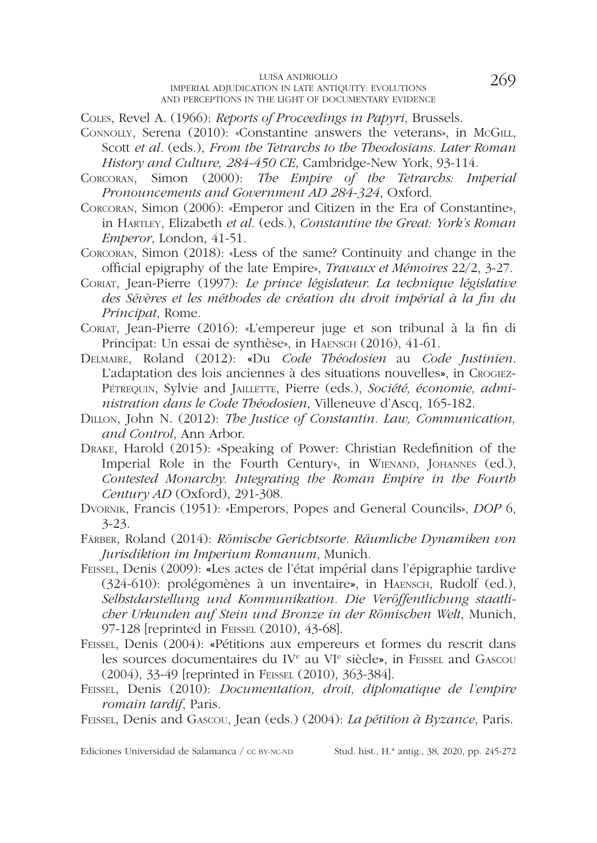Coles, Revel A. (1966): *Reports of Proceedings in Papyri*, Brussels.

- CONNOLLY, Serena (2010): «Constantine answers the veterans», in McGILL, Scott *et al.* (eds.), *From the Tetrarchs to the Theodosians. Later Roman History and Culture, 284-450 CE*, Cambridge-New York, 93-114.
- Corcoran, Simon (2000): *The Empire of the Tetrarchs: Imperial Pronouncements and Government AD 284-324*, Oxford.
- Corcoran, Simon (2006): «Emperor and Citizen in the Era of Constantine», in Hartley, Elizabeth *et al*. (eds.), *Constantine the Great: York's Roman Emperor*, London, 41-51.
- Corcoran, Simon (2018): «Less of the same? Continuity and change in the offcial epigraphy of the late Empire», *Travaux et Mémoires* 22/2, 3-27.
- Coriat, Jean-Pierre (1997): *Le prince législateur. La technique législative des Sévères et les méthodes de création du droit impérial à la fn du Principat*, Rome.
- Coriat, Jean-Pierre (2016): «L'empereur juge et son tribunal à la fn di Principat: Un essai de synthèse», in HAENSCH (2016), 41-61.
- Delmaire, Roland (2012): «Du *Code Théodosien* au *Code Justinien*. L'adaptation des lois anciennes à des situations nouvelles», in Crogiez-PéTREQUIN, Sylvie and JAILLETTE, Pierre (eds.), Société, économie, admi*nistration dans le Code Théodosien*, Villeneuve d'Ascq, 165-182.
- Dillon, John N. (2012): *The Justice of Constantin. Law, Communication, and Control*, Ann Arbor.
- Drake, Harold (2015): «Speaking of Power: Christian Redefnition of the Imperial Role in the Fourth Century», in WIENAND, JOHANNES (ed.), *Contested Monarchy. Integrating the Roman Empire in the Fourth Century AD* (Oxford), 291-308.
- Dvornik, Francis (1951): «Emperors, Popes and General Councils», *DOP* 6, 3-23.
- Färber, Roland (2014): *Römische Gerichtsorte. Räumliche Dynamiken von Jurisdiktion im Imperium Romanum*, Munich.
- Feissel, Denis (2009): «Les actes de l'état impérial dans l'épigraphie tardive (324-610): prolégomènes à un inventaire», in Haensch, Rudolf (ed.), *Selbstdarstellung und Kommunikation. Die Veröffentlichung staatlicher Urkunden auf Stein und Bronze in der Römischen Welt*, Munich, 97-128 [reprinted in Feissel (2010), 43-68].
- Feissel, Denis (2004): «Pétitions aux empereurs et formes du rescrit dans les sources documentaires du IVe au VIe siècle», in Feissel and Gascou (2004), 33-49 [reprinted in Feissel (2010), 363-384].
- Feissel, Denis (2010): *Documentation, droit, diplomatique de l'empire romain tardif*, Paris.
- Feissel, Denis and Gascou, Jean (eds.) (2004): *La pétition à Byzance*, Paris.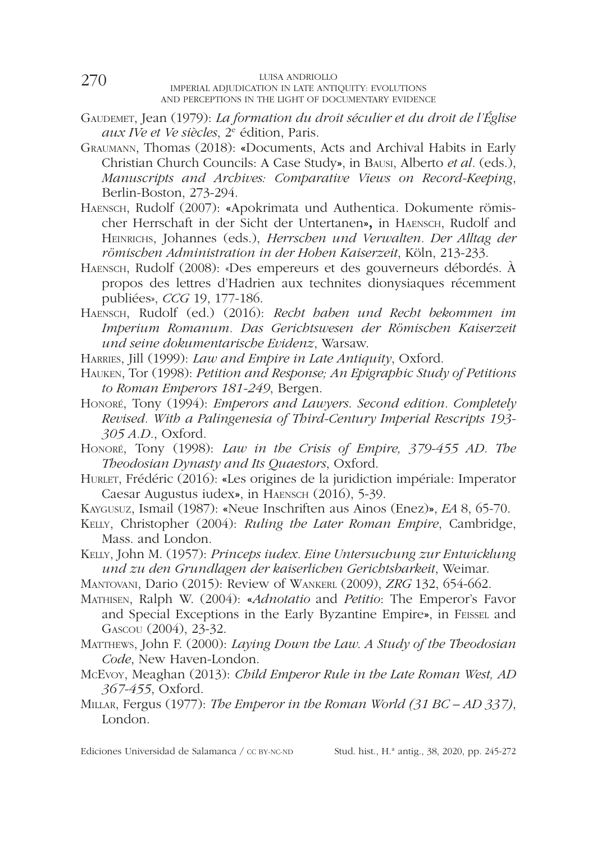- Gaudemet, Jean (1979): *La formation du droit séculier et du droit de l'Église aux IVe et Ve siècles*, 2e édition, Paris.
- Graumann, Thomas (2018): «Documents, Acts and Archival Habits in Early Christian Church Councils: A Case Study», in Bausi, Alberto *et al.* (eds.), *Manuscripts and Archives: Comparative Views on Record-Keeping*, Berlin-Boston, 273-294.
- Haensch, Rudolf (2007): «Apokrimata und Authentica. Dokumente römischer Herrschaft in der Sicht der Untertanen», in Haensch, Rudolf and Heinrichs, Johannes (eds.), *Herrschen und Verwalten. Der Alltag der römischen Administration in der Hohen Kaiserzeit*, Köln, 213-233.
- Haensch, Rudolf (2008): «Des empereurs et des gouverneurs débordés. À propos des lettres d'Hadrien aux technites dionysiaques récemment publiées», *CCG* 19, 177-186.
- Haensch, Rudolf (ed.) (2016): *Recht haben und Recht bekommen im Imperium Romanum. Das Gerichtswesen der Römischen Kaiserzeit und seine dokumentarische Evidenz*, Warsaw.
- Harries, Jill (1999): *Law and Empire in Late Antiquity*, Oxford.
- Hauken, Tor (1998): *Petition and Response; An Epigraphic Study of Petitions to Roman Emperors 181-249*, Bergen.
- Honoré, Tony (1994): *Emperors and Lawyers*. *Second edition. Completely Revised. With a Palingenesia of Third-Century Imperial Rescripts 193- 305 A.D.*, Oxford.
- Honoré, Tony (1998): *Law in the Crisis of Empire, 379-455 AD. The Theodosian Dynasty and Its Quaestors*, Oxford.
- HURLET, Frédéric (2016): «Les origines de la juridiction impériale: Imperator Caesar Augustus iudex», in Haensch (2016), 5-39.
- Kaygusuz, Ismail (1987): «Neue Inschriften aus Ainos (Enez)», *EA* 8, 65-70.
- Kelly, Christopher (2004): *Ruling the Later Roman Empire*, Cambridge, Mass. and London.
- Kelly, John M. (1957): *Princeps iudex. Eine Untersuchung zur Entwicklung und zu den Grundlagen der kaiserlichen Gerichtsbarkeit*, Weimar.
- Mantovani, Dario (2015): Review of Wankerl (2009), *ZRG* 132, 654-662.
- Mathisen, Ralph W. (2004): «*Adnotatio* and *Petitio*: The Emperor's Favor and Special Exceptions in the Early Byzantine Empire», in Feissel and Gascou (2004), 23-32.
- Matthews, John F. (2000): *Laying Down the Law. A Study of the Theodosian Code*, New Haven-London.
- McEvoy, Meaghan (2013): *Child Emperor Rule in the Late Roman West, AD 367-455*, Oxford.
- Millar, Fergus (1977): *The Emperor in the Roman World (31 BC AD 337)*, London.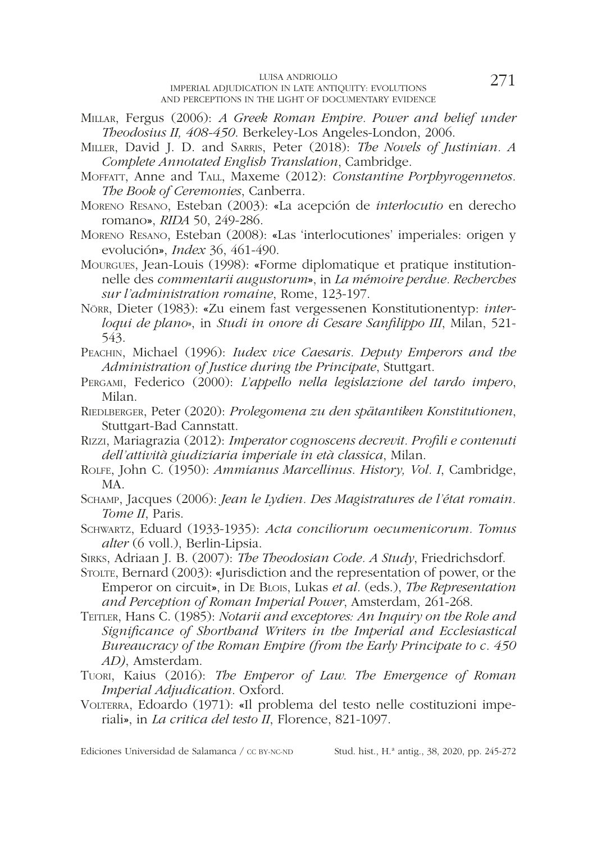- Millar, Fergus (2006): *A Greek Roman Empire. Power and belief under Theodosius II, 408-450*. Berkeley-Los Angeles-London, 2006.
- Miller, David J. D. and Sarris, Peter (2018): *The Novels of Justinian. A Complete Annotated English Translation*, Cambridge.
- Moffatt, Anne and Tall, Maxeme (2012): *Constantine Porphyrogennetos. The Book of Ceremonies*, Canberra.
- Moreno Resano, Esteban (2003): «La acepción de *interlocutio* en derecho romano», *RIDA* 50, 249-286.
- Moreno Resano, Esteban (2008): «Las 'interlocutiones' imperiales: origen y evolución», *Index* 36, 461-490.
- Mourgues, Jean-Louis (1998): «Forme diplomatique et pratique institutionnelle des *commentarii augustorum*», in *La mémoire perdue. Recherches sur l'administration romaine*, Rome, 123-197.
- Nörr, Dieter (1983): «Zu einem fast vergessenen Konstitutionentyp: *interloqui de plano*», in *Studi in onore di Cesare Sanflippo III*, Milan, 521- 543.
- Peachin, Michael (1996): *Iudex vice Caesaris. Deputy Emperors and the Administration of Justice during the Principate*, Stuttgart.
- Pergami, Federico (2000): *L'appello nella legislazione del tardo impero*, Milan.
- Riedlberger, Peter (2020): *Prolegomena zu den spätantiken Konstitutionen*, Stuttgart-Bad Cannstatt.
- Rizzi, Mariagrazia (2012): *Imperator cognoscens decrevit. Profli e contenuti dell'attività giudiziaria imperiale in età classica*, Milan.
- Rolfe, John C. (1950): *Ammianus Marcellinus*. *History, Vol. I*, Cambridge, MA.
- Schamp, Jacques (2006): *Jean le Lydien. Des Magistratures de l'état romain. Tome II*, Paris.
- Schwartz, Eduard (1933-1935): *Acta conciliorum oecumenicorum. Tomus alter* (6 voll.), Berlin-Lipsia.
- Sirks, Adriaan J. B. (2007): *The Theodosian Code. A Study*, Friedrichsdorf.
- Stolte, Bernard (2003): «Jurisdiction and the representation of power, or the Emperor on circuit», in De Blois, Lukas *et al.* (eds.), *The Representation and Perception of Roman Imperial Power*, Amsterdam, 261-268.
- TEITLER, Hans C. (1985): *Notarii and exceptores: An Inquiry on the Role and Signifcance of Shorthand Writers in the Imperial and Ecclesiastical Bureaucracy of the Roman Empire (from the Early Principate to c. 450 AD)*, Amsterdam.
- Tuori, Kaius (2016): *The Emperor of Law. The Emergence of Roman Imperial Adjudication*. Oxford.
- VOLTERRA, Edoardo (1971): «Il problema del testo nelle costituzioni imperiali», in *La critica del testo II*, Florence, 821-1097.